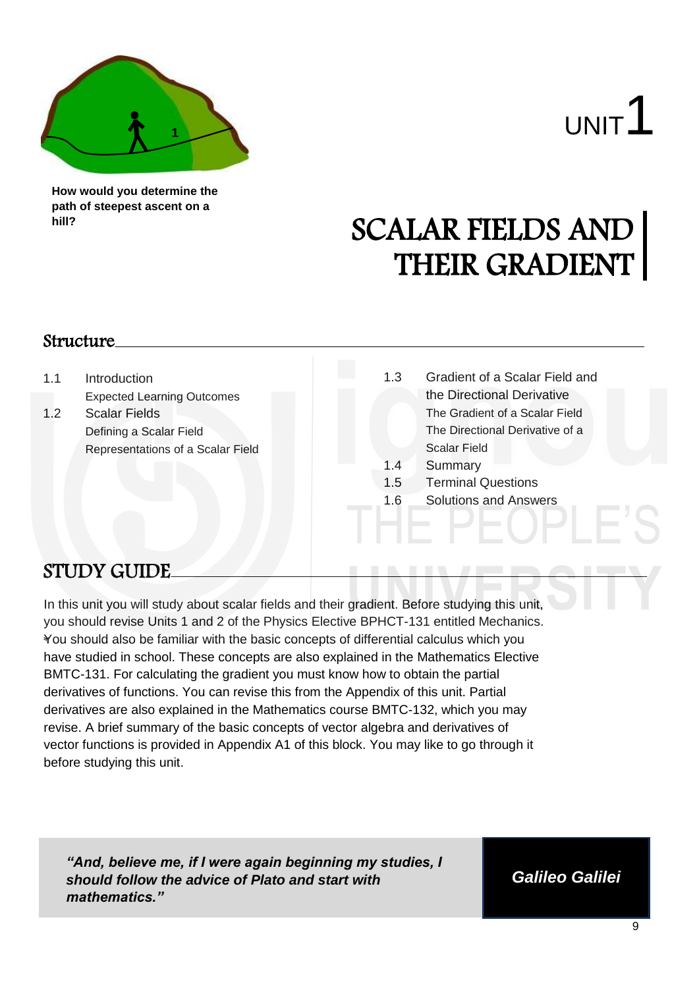

**How would you determine the path of steepest ascent on a hill?**

# SCALAR FIELDS AND THEIR GRADIENT

### Structure

1.1 Introduction Expected Learning Outcomes 1.2 Scalar Fields Defining a Scalar Field Representations of a Scalar Field 1.3 Gradient of a Scalar Field and the Directional Derivative The Gradient of a Scalar Field The Directional Derivative of a Scalar Field 1.4 Summary 1.5 Terminal Questions 1.6 Solutions and Answers

# STUDY GUIDE

\* You should also be familiar with the basic concepts of differential calculus which you In this unit you will study about scalar fields and their gradient. Before studying this unit, you should revise Units 1 and 2 of the Physics Elective BPHCT-131 entitled Mechanics. have studied in school. These concepts are also explained in the Mathematics Elective BMTC-131. For calculating the gradient you must know how to obtain the partial derivatives of functions. You can revise this from the Appendix of this unit. Partial derivatives are also explained in the Mathematics course BMTC-132, which you may revise. A brief summary of the basic concepts of vector algebra and derivatives of vector functions is provided in Appendix A1 of this block. You may like to go through it before studying this unit.

*"And, believe me, if I were again beginning my studies, I should follow the advice of Plato and start with mathematics."*

*Galileo Galilei*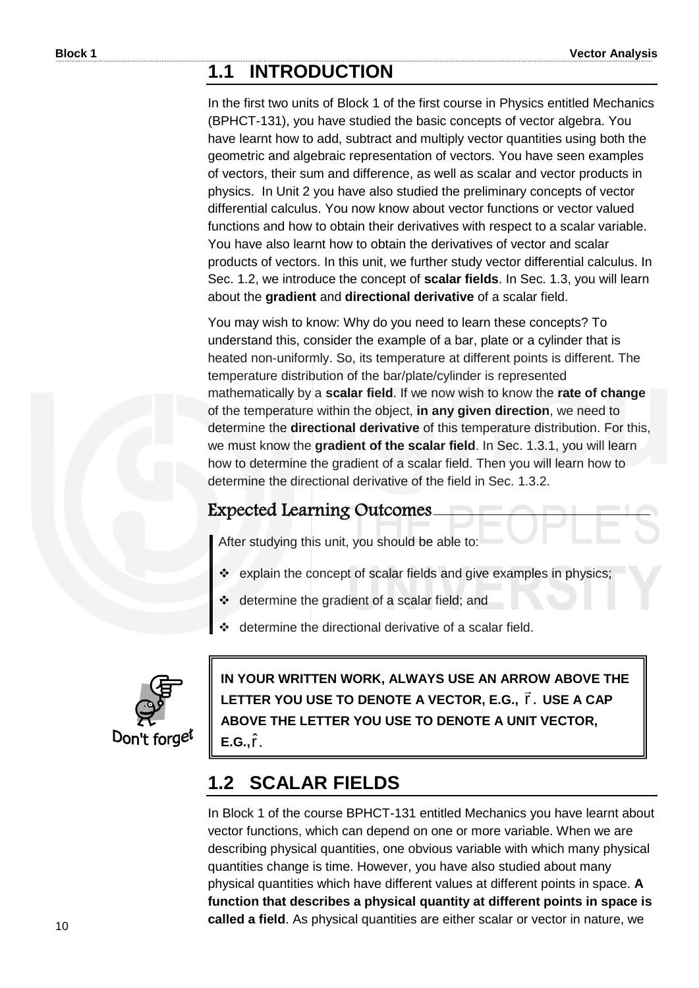### **1.1 INTRODUCTION**

In the first two units of Block 1 of the first course in Physics entitled Mechanics (BPHCT-131), you have studied the basic concepts of vector algebra. You have learnt how to add, subtract and multiply vector quantities using both the geometric and algebraic representation of vectors. You have seen examples of vectors, their sum and difference, as well as scalar and vector products in physics. In Unit 2 you have also studied the preliminary concepts of vector differential calculus. You now know about vector functions or vector valued functions and how to obtain their derivatives with respect to a scalar variable. You have also learnt how to obtain the derivatives of vector and scalar products of vectors. In this unit, we further study vector differential calculus. In Sec. 1.2, we introduce the concept of **scalar fields**. In Sec. 1.3, you will learn about the **gradient** and **directional derivative** of a scalar field.

You may wish to know: Why do you need to learn these concepts? To understand this, consider the example of a bar, plate or a cylinder that is heated non-uniformly. So, its temperature at different points is different. The temperature distribution of the bar/plate/cylinder is represented mathematically by a **scalar field**. If we now wish to know the **rate of change** of the temperature within the object, **in any given direction**, we need to determine the **directional derivative** of this temperature distribution. For this, we must know the **gradient of the scalar field**. In Sec. 1.3.1, you will learn how to determine the gradient of a scalar field. Then you will learn how to determine the directional derivative of the field in Sec. 1.3.2.

### Expected Learning Outcomes

After studying this unit, you should be able to:

- \* explain the concept of scalar fields and give examples in physics;
- determine the gradient of a scalar field; and
- determine the directional derivative of a scalar field.



**IN YOUR WRITTEN WORK, ALWAYS USE AN ARROW ABOVE THE**  LETTER YOU USE TO DENOTE A VECTOR, E.G., **r̃** .  $\ddot{\phantom{0}}$ **USE A CAP ABOVE THE LETTER YOU USE TO DENOTE A UNIT VECTOR, E.G., î**.

# **1.2 SCALAR FIELDS**

In Block 1 of the course BPHCT-131 entitled Mechanics you have learnt about vector functions, which can depend on one or more variable. When we are describing physical quantities, one obvious variable with which many physical quantities change is time. However, you have also studied about many physical quantities which have different values at different points in space. **A function that describes a physical quantity at different points in space is called a field**. As physical quantities are either scalar or vector in nature, we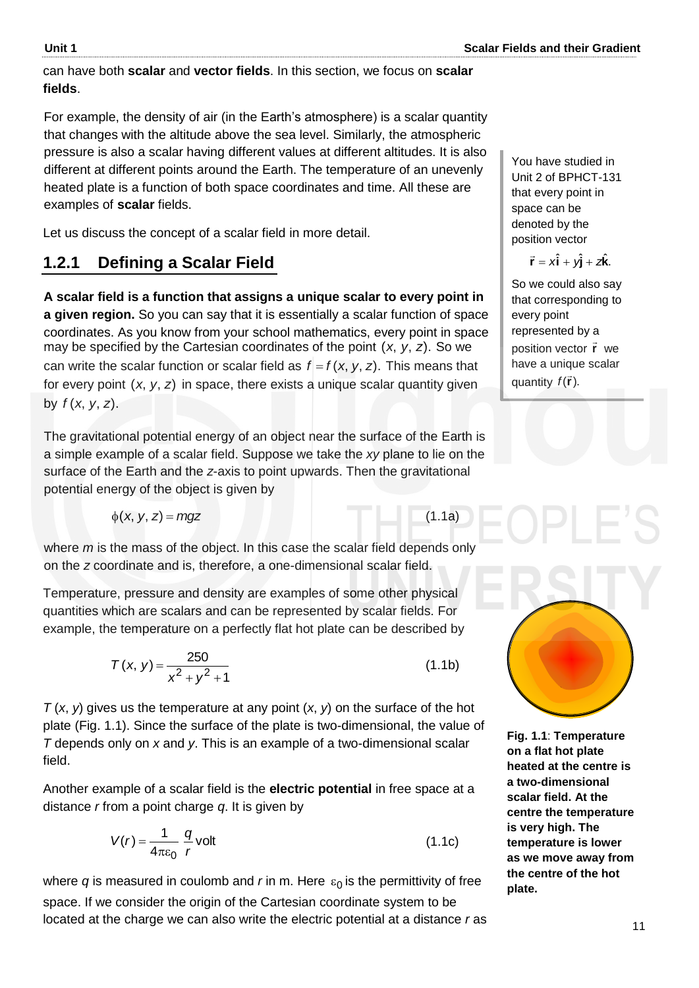can have both **scalar** and **vector fields**. In this section, we focus on **scalar fields**.

For example, the density of air (in the Earth's atmosphere) is a scalar quantity that changes with the altitude above the sea level. Similarly, the atmospheric pressure is also a scalar having different values at different altitudes. It is also different at different points around the Earth. The temperature of an unevenly heated plate is a function of both space coordinates and time. All these are examples of **scalar** fields.

Let us discuss the concept of a scalar field in more detail.

### **1.2.1 Defining a Scalar Field**

**A scalar field is a function that assigns a unique scalar to every point in a given region.** So you can say that it is essentially a scalar function of space coordinates. As you know from your school mathematics, every point in space may be specified by the Cartesian coordinates of the point (x, y, z). So we can write the scalar function or scalar field as  $f = f(x, y, z)$ . This means that for every point (x, y, z) in space, there exists a unique scalar quantity given by  $f(x, y, z)$ .

The gravitational potential energy of an object near the surface of the Earth is a simple example of a scalar field. Suppose we take the *xy* plane to lie on the surface of the Earth and the *z*-axis to point upwards. Then the gravitational potential energy of the object is given by

$$
\phi(x, y, z) = mgz \tag{1.1a}
$$

where *m* is the mass of the object. In this case the scalar field depends only on the *z* coordinate and is, therefore, a one-dimensional scalar field.

Temperature, pressure and density are examples of some other physical quantities which are scalars and can be represented by scalar fields. For example, the temperature on a perfectly flat hot plate can be described by

$$
T(x, y) = \frac{250}{x^2 + y^2 + 1}
$$
 (1.1b)

*T* (*x*, *y*) gives us the temperature at any point (*x*, *y*) on the surface of the hot plate (Fig. 1.1). Since the surface of the plate is two-dimensional, the value of *T* depends only on *x* and *y*. This is an example of a two-dimensional scalar field.

Another example of a scalar field is the **electric potential** in free space at a distance *r* from a point charge *q*. It is given by

$$
V(r) = \frac{1}{4\pi\varepsilon_0} \frac{q}{r} \text{volt}
$$
 (1.1c)

where  $q$  is measured in coulomb and  $r$  in m. Here  $\varepsilon_0$  is the permittivity of free space. If we consider the origin of the Cartesian coordinate system to be located at the charge we can also write the electric potential at a distance *r* as You have studied in Unit 2 of BPHCT-131 that every point in space can be denoted by the position vector

$$
\vec{r} = x\hat{i} + y\hat{j} + z\hat{k}.
$$

So we could also say that corresponding to every point represented by a position vector **r** we have a unique scalar quantity  $f(\vec{r})$ .



**Fig. 1.1**: **Temperature on a flat hot plate heated at the centre is a two-dimensional scalar field. At the centre the temperature is very high. The temperature is lower as we move away from the centre of the hot plate.**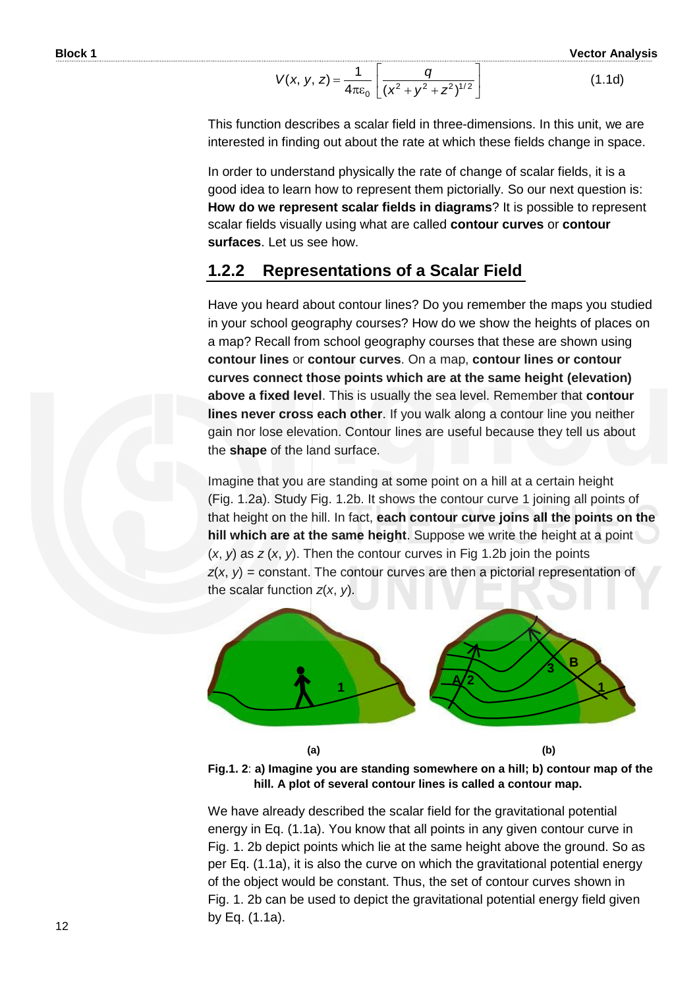$$
V(x, y, z) = \frac{1}{4\pi\varepsilon_0} \left[ \frac{q}{(x^2 + y^2 + z^2)^{1/2}} \right]
$$
 (1.1d)

This function describes a scalar field in three-dimensions. In this unit, we are interested in finding out about the rate at which these fields change in space.

In order to understand physically the rate of change of scalar fields, it is a good idea to learn how to represent them pictorially. So our next question is: **How do we represent scalar fields in diagrams**? It is possible to represent scalar fields visually using what are called **contour curves** or **contour surfaces**. Let us see how.

### **1.2.2 Representations of a Scalar Field**

Have you heard about contour lines? Do you remember the maps you studied in your school geography courses? How do we show the heights of places on a map? Recall from school geography courses that these are shown using **contour lines** or **contour curves**. On a map, **contour lines or contour curves connect those points which are at the same height (elevation) above a fixed level**. This is usually the sea level. Remember that **contour lines never cross each other**. If you walk along a contour line you neither gain nor lose elevation. Contour lines are useful because they tell us about the **shape** of the land surface.

Imagine that you are standing at some point on a hill at a certain height (Fig. 1.2a). Study Fig. 1.2b. It shows the contour curve 1 joining all points of that height on the hill. In fact, **each contour curve joins all the points on the hill which are at the same height**. Suppose we write the height at a point (*x*, *y*) as *z* (*x*, *y*). Then the contour curves in Fig 1.2b join the points *z*(*x*, *y*) = constant. The contour curves are then a pictorial representation of the scalar function *z*(*x*, *y*).



 **(a) (b) Fig.1. 2**: **a) Imagine you are standing somewhere on a hill; b) contour map of the hill. A plot of several contour lines is called a contour map.** 

We have already described the scalar field for the gravitational potential energy in Eq. (1.1a). You know that all points in any given contour curve in Fig. 1. 2b depict points which lie at the same height above the ground. So as per Eq. (1.1a), it is also the curve on which the gravitational potential energy of the object would be constant. Thus, the set of contour curves shown in Fig. 1. 2b can be used to depict the gravitational potential energy field given (a)<br>
Fig.1. 2: a) Imagine you a<br>
hill. A plot of sev<br>
We have already descril<br>
energy in Eq. (1.1a). Yo<br>
Fig. 1. 2b depict points v<br>
per Eq. (1.1a), it is also<br>
of the object would be c<br>
Fig. 1. 2b can be used to<br>
by Eq. (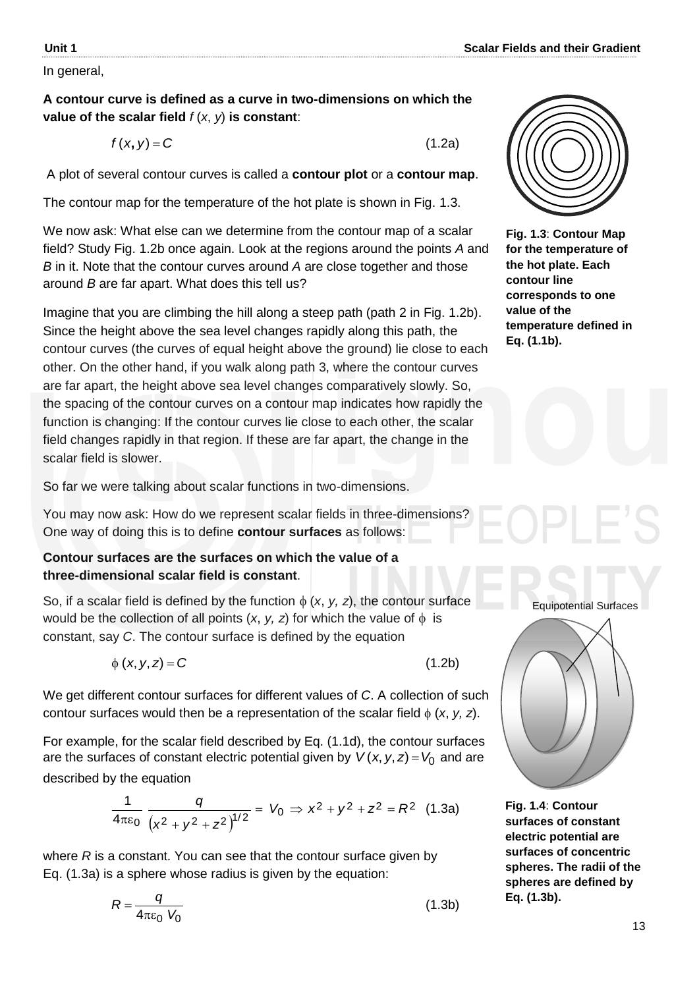In general,

### **A contour curve is defined as a curve in two-dimensions on which the value of the scalar field** *f* (*x*, *y*) **is constant**:

 $f(x, y) = C$ 

A plot of several contour curves is called a **contour plot** or a **contour map**.

The contour map for the temperature of the hot plate is shown in Fig. 1.3.

We now ask: What else can we determine from the contour map of a scalar field? Study Fig. 1.2b once again. Look at the regions around the points *A* and *B* in it. Note that the contour curves around *A* are close together and those around *B* are far apart. What does this tell us?

Imagine that you are climbing the hill along a steep path (path 2 in Fig. 1.2b). Since the height above the sea level changes rapidly along this path, the contour curves (the curves of equal height above the ground) lie close to each other. On the other hand, if you walk along path 3, where the contour curves are far apart, the height above sea level changes comparatively slowly. So, the spacing of the contour curves on a contour map indicates how rapidly the function is changing: If the contour curves lie close to each other, the scalar field changes rapidly in that region. If these are far apart, the change in the scalar field is slower.

So far we were talking about scalar functions in two-dimensions.

You may now ask: How do we represent scalar fields in three-dimensions? One way of doing this is to define **contour surfaces** as follows:

### **Contour surfaces are the surfaces on which the value of a three-dimensional scalar field is constant**.

So, if a scalar field is defined by the function  $\phi$  (*x*, *y*, *z*), the contour surface would be the collection of all points  $(x, y, z)$  for which the value of  $\phi$  is constant, say *C*. The contour surface is defined by the equation

 $\phi$  (*x*, *y*, *z*) = *C* (1.2b)

We get different contour surfaces for different values of *C*. A collection of such contour surfaces would then be a representation of the scalar field  $\phi$  (*x*, *y*, *z*).

For example, for the scalar field described by Eq. (1.1d), the contour surfaces are the surfaces of constant electric potential given by  $V(x, y, z)$  =  $V_0$  and are described by the equation

$$
\frac{1}{4\pi\varepsilon_0} \frac{q}{\left(x^2 + y^2 + z^2\right)^{1/2}} = V_0 \Rightarrow x^2 + y^2 + z^2 = R^2 \quad (1.3a)
$$

where *R* is a constant. You can see that the contour surface given by Eq. (1.3a) is a sphere whose radius is given by the equation:

$$
R = \frac{q}{4\pi\epsilon_0 V_0} \tag{1.3b}
$$



(1.2a)

**Fig. 1.3**: **Contour Map for the temperature of the hot plate. Each contour line corresponds to one value of the temperature defined in Eq. (1.1b).**



**Fig. 1.4**: **Contour surfaces of constant electric potential are surfaces of concentric spheres. The radii of the spheres are defined by Eq. (1.3b).**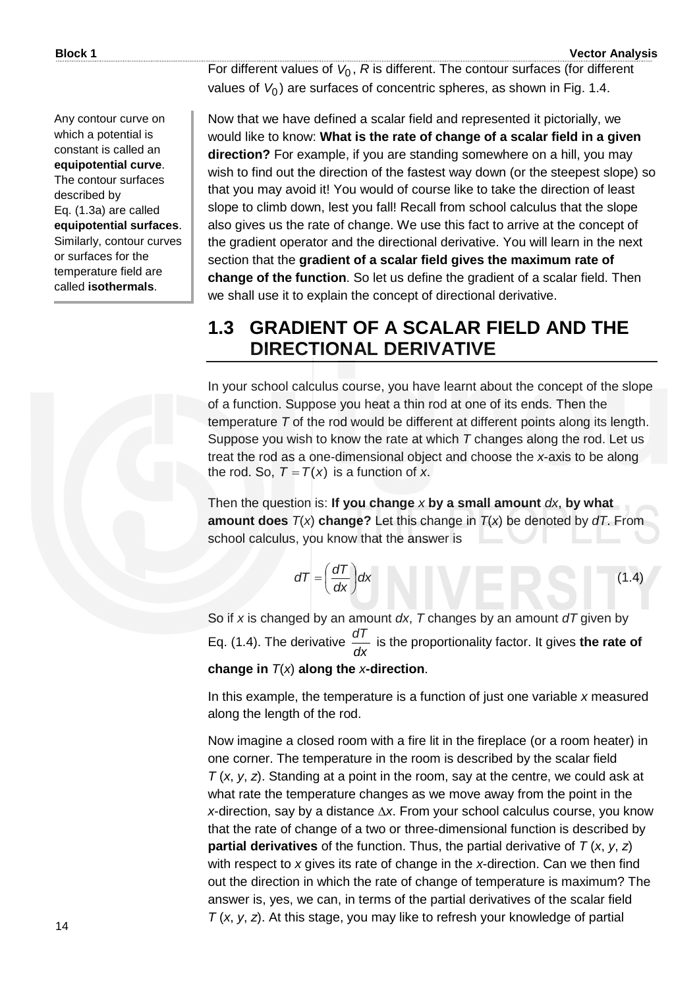Any contour curve on which a potential is constant is called an **equipotential curve**. The contour surfaces described by Eq. (1.3a) are called **equipotential surfaces**. Similarly, contour curves or surfaces for the temperature field are called **isothermals**.

(1.4)

For different values of  $V_0$ , R is different. The contour surfaces (for different values of V<sub>0</sub>) are surfaces of concentric spheres, as shown in Fig. 1.4.

Now that we have defined a scalar field and represented it pictorially, we would like to know: **What is the rate of change of a scalar field in a given direction?** For example, if you are standing somewhere on a hill, you may wish to find out the direction of the fastest way down (or the steepest slope) so that you may avoid it! You would of course like to take the direction of least slope to climb down, lest you fall! Recall from school calculus that the slope also gives us the rate of change. We use this fact to arrive at the concept of the gradient operator and the directional derivative. You will learn in the next section that the **gradient of a scalar field gives the maximum rate of change of the function**. So let us define the gradient of a scalar field. Then we shall use it to explain the concept of directional derivative.

### **1.3 GRADIENT OF A SCALAR FIELD AND THE DIRECTIONAL DERIVATIVE**

In your school calculus course, you have learnt about the concept of the slope of a function. Suppose you heat a thin rod at one of its ends. Then the temperature *T* of the rod would be different at different points along its length. Suppose you wish to know the rate at which *T* changes along the rod. Let us treat the rod as a one-dimensional object and choose the *x*-axis to be along the rod. So,  $T = T(x)$  is a function of *x*.

Then the question is: **If you change** *x* **by a small amount** *dx*, **by what amount does** *T*(*x*) **change?** Let this change in *T*(*x*) be denoted by *dT*. From school calculus, you know that the answer is

$$
dT = \left(\frac{dT}{dx}\right)dx
$$

So if *x* is changed by an amount *dx*, *T* changes by an amount *dT* given by Eq. (1.4). The derivative *dx dT* is the proportionality factor. It gives **the rate of change in** *T*(*x*) **along the** *x***-direction**.

In this example, the temperature is a function of just one variable *x* measured along the length of the rod.

Now imagine a closed room with a fire lit in the fireplace (or a room heater) in one corner. The temperature in the room is described by the scalar field *T* (*x*, *y*, *z*). Standing at a point in the room, say at the centre, we could ask at what rate the temperature changes as we move away from the point in the *x*-direction, say by a distance  $\Delta x$ . From your school calculus course, you know that the rate of change of a two or three-dimensional function is described by **partial derivatives** of the function. Thus, the partial derivative of *T* (*x*, *y*, *z*) with respect to *x* gives its rate of change in the *x*-direction. Can we then find out the direction in which the rate of change of temperature is maximum? The answer is, yes, we can, in terms of the partial derivatives of the scalar field *T* (*x*, *y*, *z*). At this stage, you may like to refresh your knowledge of partial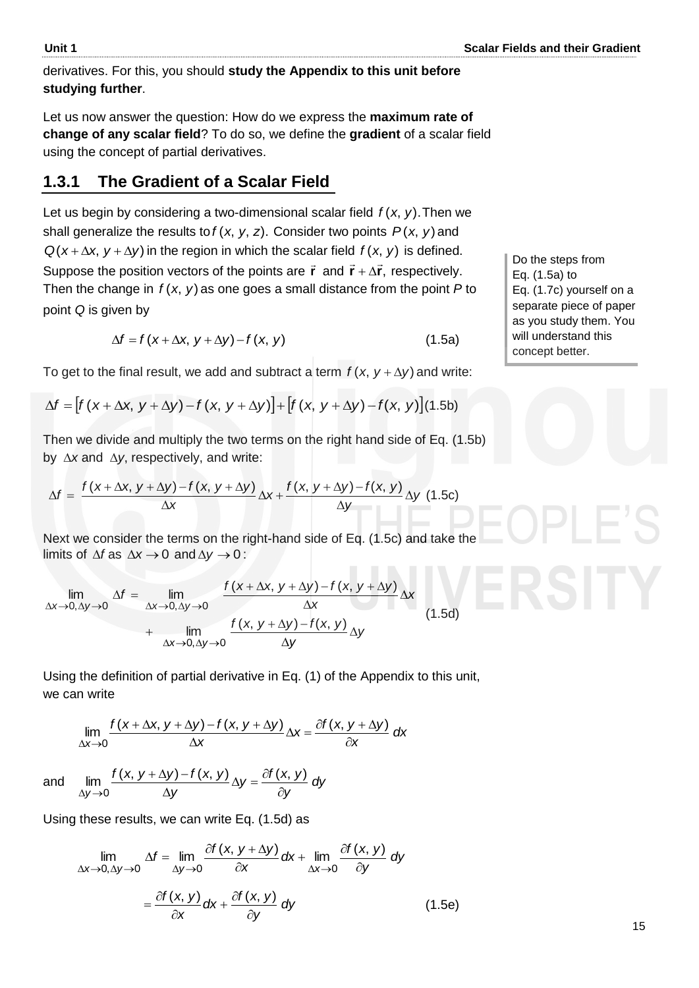derivatives. For this, you should **study the Appendix to this unit before studying further**.

Let us now answer the question: How do we express the **maximum rate of change of any scalar field**? To do so, we define the **gradient** of a scalar field using the concept of partial derivatives.

### **1.3.1 The Gradient of a Scalar Field**

Let us begin by considering a two-dimensional scalar field  $f(x, y)$ . Then we shall generalize the results to  $f(x, y, z)$ . Consider two points  $P(x, y)$  and  $Q(x + \Delta x, y + \Delta y)$  in the region in which the scalar field  $f(x, y)$  is defined. Suppose the position vectors of the points are  $\vec{r}$  and  $\vec{r} + \Delta \vec{r}$ ,  $\vec{r} + \Delta \vec{r}$ , respectively. Then the change in  $f(x, y)$  as one goes a small distance from the point  $P$  to point *Q* is given by

$$
\Delta f = f(x + \Delta x, y + \Delta y) - f(x, y) \tag{1.5a}
$$

To get to the final result, we add and subtract a term  $f(x, y + \Delta y)$  and write:

$$
\Delta f = f(x + \Delta x, y + \Delta y) - f(x, y)
$$
(1.5a)  
To get to the final result, we add and subtract a term  $f(x, y + \Delta y)$  and write  

$$
\Delta f = [f(x + \Delta x, y + \Delta y) - f(x, y + \Delta y)] + [f(x, y + \Delta y) - f(x, y)](1.5b)
$$

Then we divide and multiply the two terms on the right hand side of Eq. (1.5b) by  $\Delta x$  and  $\Delta y$ , respectively, and write:

$$
\Delta f = \frac{f(x + \Delta x, y + \Delta y) - f(x, y + \Delta y)}{\Delta x} \Delta x + \frac{f(x, y + \Delta y) - f(x, y)}{\Delta y} \Delta y
$$
(1.5c)

Next we consider the terms on the right-hand side of Eq. (1.5c) and take the limits of  $\Delta f$  as  $\Delta x \rightarrow 0$  and  $\Delta y \rightarrow 0$ :

$$
\lim_{\Delta x \to 0, \Delta y \to 0} \Delta f = \lim_{\Delta x \to 0, \Delta y \to 0} \frac{f(x + \Delta x, y + \Delta y) - f(x, y + \Delta y)}{\Delta x} \Delta x
$$
\n
$$
+ \lim_{\Delta x \to 0, \Delta y \to 0} \frac{f(x, y + \Delta y) - f(x, y)}{\Delta y} \Delta y
$$
\n(1.5d)

Using the definition of partial derivative in Eq. (1) of the Appendix to this unit, we can write

$$
\lim_{\Delta x \to 0} \frac{f(x + \Delta x, y + \Delta y) - f(x, y + \Delta y)}{\Delta x} \Delta x = \frac{\partial f(x, y + \Delta y)}{\partial x} dx
$$
  
and 
$$
\lim_{x \to 0} \frac{f(x, y + \Delta y) - f(x, y)}{\Delta y} \Delta y = \frac{\partial f(x, y)}{\partial y} dy
$$

Using these results, we can write Eq. (1.5d) as

 $\Delta y \rightarrow 0$   $\Delta y$   $\partial$ 

*y*

and

$$
\lim_{\Delta x \to 0, \Delta y \to 0} \Delta f = \lim_{\Delta y \to 0} \frac{\partial f(x, y + \Delta y)}{\partial x} dx + \lim_{\Delta x \to 0} \frac{\partial f(x, y)}{\partial y} dy
$$

$$
= \frac{\partial f(x, y)}{\partial x} dx + \frac{\partial f(x, y)}{\partial y} dy
$$
(1.5e)

*y*

Do the steps from Eq. (1.5a) to Eq. (1.7c) yourself on a separate piece of paper as you study them. You will understand this concept better.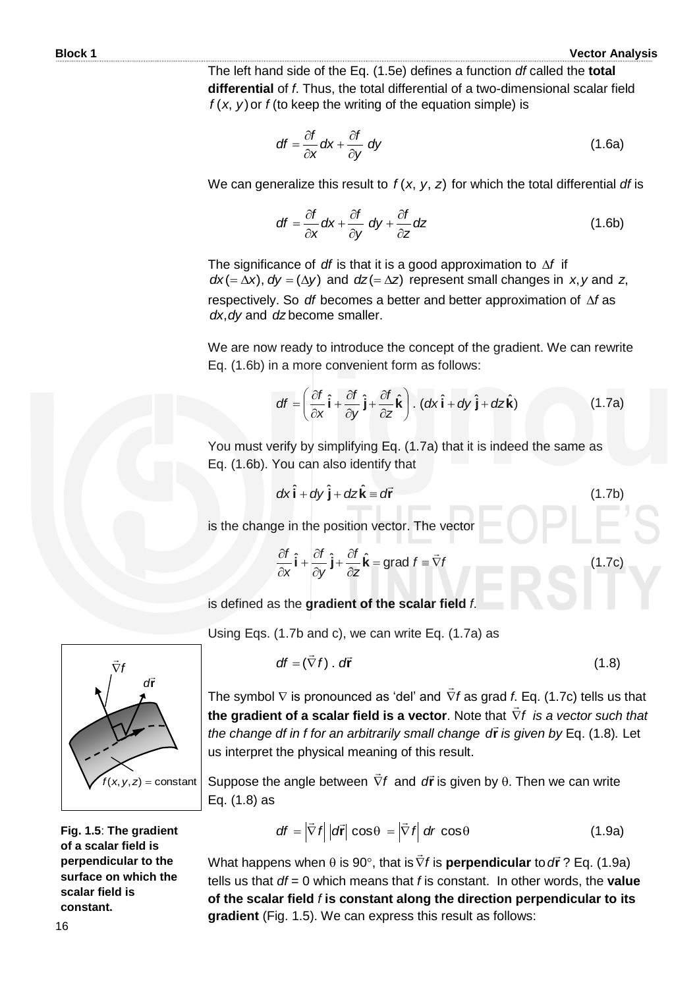The left hand side of the Eq. (1.5e) defines a function *df* called the **total differential** of *f*. Thus, the total differential of a two-dimensional scalar field  $f(x, y)$  or  $f(x)$  to keep the writing of the equation simple) is

$$
df = \frac{\partial f}{\partial x} dx + \frac{\partial f}{\partial y} dy
$$
 (1.6a)

We can generalize this result to  $f(x, y, z)$  for which the total differential *df* is

$$
df = \frac{\partial f}{\partial x} dx + \frac{\partial f}{\partial y} dy + \frac{\partial f}{\partial z} dz
$$
 (1.6b)

The significance of *df* is that it is a good approximation to  $\Delta f$  if  $dx (= \Delta x)$ ,  $dy = (\Delta y)$  and  $dz (= \Delta z)$  represent small changes in x, y and z, respectively. So df becomes a better and better approximation of  $\Delta f$  as dx, dy and dz become smaller.

We are now ready to introduce the concept of the gradient. We can rewrite Eq. (1.6b) in a more convenient form as follows:

$$
df = \left(\frac{\partial f}{\partial x}\hat{\mathbf{i}} + \frac{\partial f}{\partial y}\hat{\mathbf{j}} + \frac{\partial f}{\partial z}\hat{\mathbf{k}}\right). (dx \hat{\mathbf{i}} + dy \hat{\mathbf{j}} + dz \hat{\mathbf{k}})
$$
(1.7a)

You must verify by simplifying Eq. (1.7a) that it is indeed the same as Eq. (1.6b). You can also identify that

$$
dx\hat{\mathbf{i}} + dy\hat{\mathbf{j}} + dz\hat{\mathbf{k}} = d\vec{r}
$$
 (1.7b)

is the change in the position vector. The vector

$$
\frac{\partial f}{\partial x}\hat{\mathbf{i}} + \frac{\partial f}{\partial y}\hat{\mathbf{j}} + \frac{\partial f}{\partial z}\hat{\mathbf{k}} = \text{grad } f \equiv \vec{\nabla}f
$$
 (1.7c)

is defined as the **gradient of the scalar field** *f*.

Using Eqs. (1.7b and c), we can write Eq. (1.7a) as

$$
df = (\vec{\nabla} f) \cdot d\vec{r}
$$
 (1.8)

The symbol  $\nabla$  is pronounced as 'del' and  $\nabla f$  $\rightarrow$ as grad *f*. Eq. (1.7c) tells us that **the gradient of a scalar field is a vector**. Note that *f is a vector such that the change df in f for an arbitrarily small change*  **r** *d is given by* Eq. (1.8)*.* Let us interpret the physical meaning of this result.

Suppose the angle between  $\nabla f$  $\rightarrow$ and  $d\vec{r}$  is given by  $\theta$ . Then we can write Eq. (1.8) as

$$
df = \left| \vec{\nabla} f \right| \left| d\vec{r} \right| \cos \theta = \left| \vec{\nabla} f \right| dr \cos \theta \tag{1.9a}
$$

What happens when  $\theta$  is 90°, that is  $\nabla f$  $\rightarrow$ is **perpendicular** to *d***r** ? Eq. (1.9a) tells us that *df* = 0 which means that *f* is constant. In other words, the **value of the scalar field** *f* **is constant along the direction perpendicular to its gradient** (Fig. 1.5). We can express this result as follows:



**Fig. 1.5**: **The gradient of a scalar field is perpendicular to the surface on which the scalar field is constant.**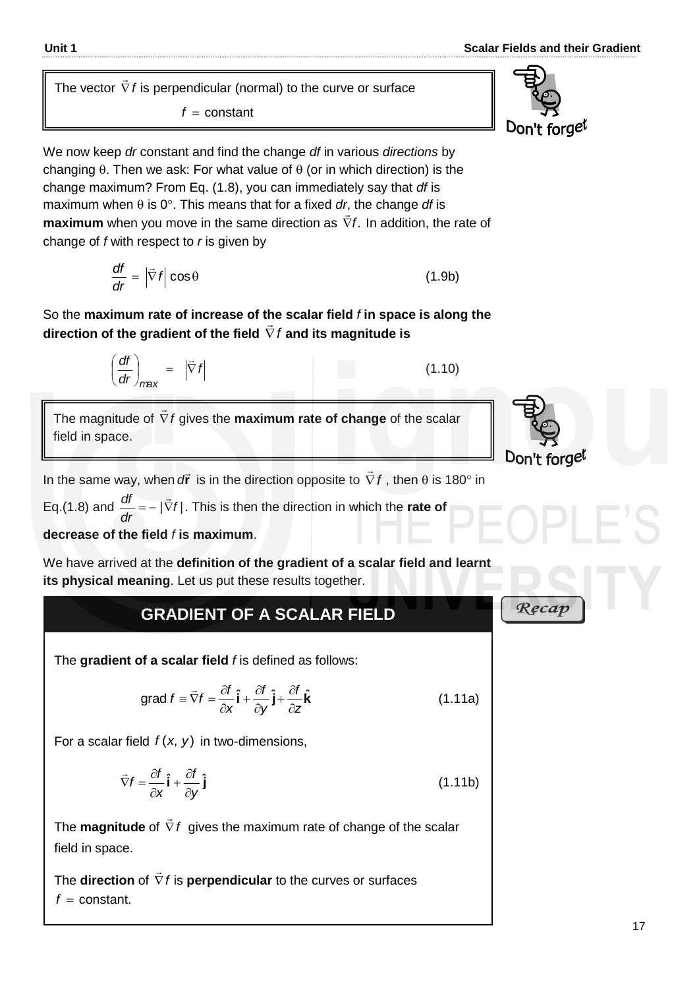The vector *f*  $\overline{a}$ is perpendicular (normal) to the curve or surface *f*  $f = constant$ 

We now keep *dr* constant and find the change *df* in various *directions* by changing  $\theta$ . Then we ask: For what value of  $\theta$  (or in which direction) is the change maximum? From Eq. (1.8), you can immediately say that *df* is maximum when  $\theta$  is  $0^\circ$ . This means that for a fixed *dr*, the change *df* is **maximum** when you move in the same direction as  $\nabla f$ .  $\frac{1}{x}$  In addition, the rate of change of *f* with respect to *r* is given by

$$
\frac{df}{dr} = |\vec{\nabla} f| \cos \theta \tag{1.9b}
$$

So the **maximum rate of increase of the scalar field** *f* **in space is along the**  direction of the gradient of the field  $\nabla$  **/**  $\frac{1}{2}$ **and its magnitude is**

In the same way, when  $d\vec{r}$  is in the direction opposite to  $\vec{\nabla}$  *i*  $\rightarrow$ , then  $\theta$  is 180 $^{\circ}$  in

gives the **maximum rate of change** of the scalar

Eq.(1.8) and  $\frac{du}{dt} = -|\nabla f|$ *dr*  $\frac{df}{dt} = -|\vec{\nabla}|$ . This is then the direction in which the **rate of** 

*f*

**decrease of the field** *f* **is maximum**.

*dr df*

The magnitude of *f*

field in space.

*max*  $\vert \qquad = \vert \nabla$ 

 $\overline{\phantom{a}}$ 

 $(df)$   $|\vec{c}|$ 

J  $\left(\frac{df}{dt}\right)$  $\setminus$ 

We have arrived at the **definition of the gradient of a scalar field and learnt its physical meaning**. Let us put these results together.

### **GRADIENT OF A SCALAR FIELD**

The **gradient of a scalar field** *f* is defined as follows:

grad 
$$
f = \vec{\nabla} f = \frac{\partial f}{\partial x} \hat{\mathbf{i}} + \frac{\partial f}{\partial y} \hat{\mathbf{j}} + \frac{\partial f}{\partial z} \hat{\mathbf{k}}
$$
 (1.11a)

For a scalar field  $f(x, y)$  in two-dimensions,

I

$$
\vec{\nabla}f = \frac{\partial f}{\partial x}\hat{\mathbf{i}} + \frac{\partial f}{\partial y}\hat{\mathbf{j}} \tag{1.11b}
$$

The **magnitude** of *f*  $\rightarrow$ gives the maximum rate of change of the scalar field in space.

The **direction** of *f*  $\overline{\phantom{a}}$ is **perpendicular** to the curves or surfaces  $f = constant$ .



(1.10)

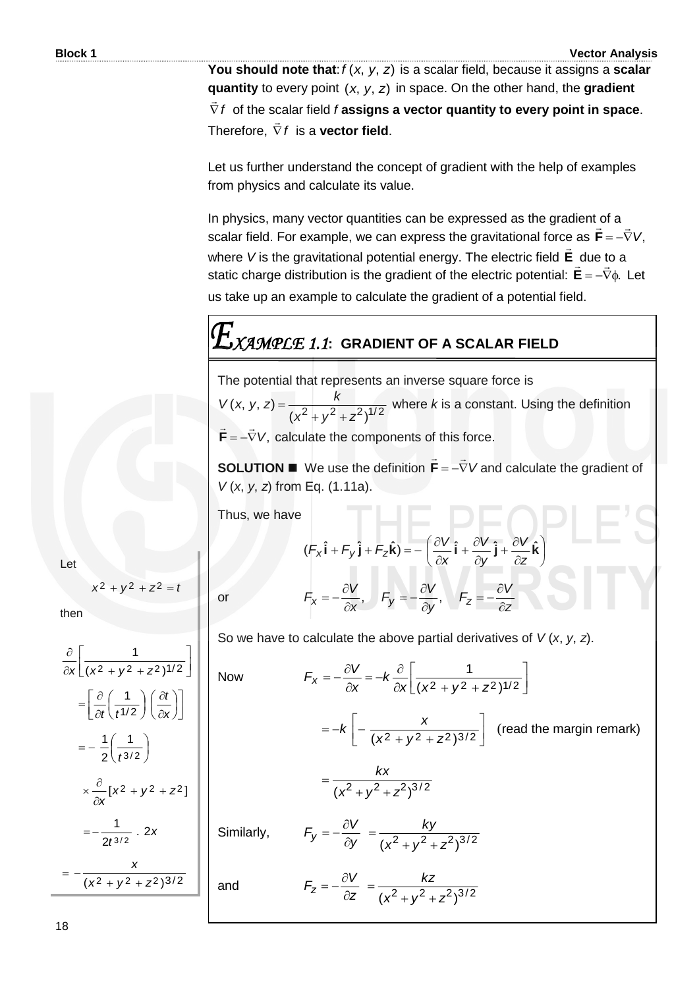**You should note that**:  $f(x, y, z)$  is a scalar field, because it assigns a **scalar quantity** to every point (x, y, z) in space. On the other hand, the **gradient** *f*  $\frac{1}{2}$  of the scalar field *f* **assigns a vector quantity to every point in space**. Therefore, *f*  $\overline{a}$ is a **vector field**.

Let us further understand the concept of gradient with the help of examples from physics and calculate its value.

In physics, many vector quantities can be expressed as the gradient of a scalar field. For example, we can express the gravitational force as  $\mathbf{F} = -\nabla V$ , **F** where *V* is the gravitational potential energy. The electric field **E**  $\frac{1}{x}$ due to a static charge distribution is the gradient of the electric potential:  $E = -\nabla \phi$ . \_uue u<br>≐  $E = -\nabla \phi$ . Let us take up an example to calculate the gradient of a potential field.

# *XAMPLE 1.1***: GRADIENT OF A SCALAR FIELD**

The potential that represents an inverse square force is

 $(x^2+y^2+z^2)^{1/2}$  $(x, y, z)$  $x^2 + y^2 + z$  $V(x, y, z) = \frac{k}{2}$  $+y^2 +$  $=$   $\frac{1}{2}$   $\frac{1}{2}$   $\frac{1}{2}$  where k is a constant. Using the definition  $\mathbf{F} = -\nabla V$ , calculate the components of this force. 

**SOLUTION We use the definition**  $\mathbf{F} = -\nabla V$  $\overline{a}$   $\overline{a}$  $\mathbf{F} = -\nabla V$  and calculate the gradient of *V* (*x*, *y*, *z*) from Eq. (1.11a).

Thus, we have

$$
\mathsf{Let}\quad
$$

 $x^2 + y^2 + z^2 = t$ 

then

$$
\frac{\partial}{\partial x} \left[ \frac{1}{(x^2 + y^2 + z^2)^{1/2}} \right]
$$
\n
$$
= \left[ \frac{\partial}{\partial t} \left( \frac{1}{t^{1/2}} \right) \left( \frac{\partial t}{\partial x} \right) \right]
$$
\n
$$
= -\frac{1}{2} \left( \frac{1}{t^{3/2}} \right)
$$
\n
$$
\times \frac{\partial}{\partial x} \left[ x^2 + y^2 + z^2 \right]
$$
\n
$$
= -\frac{1}{2t^{3/2}} \cdot 2x
$$
\n
$$
= -\frac{x}{(x^2 + y^2 + z^2)^{3/2}}
$$

$$
(F_x \hat{\mathbf{i}} + F_y \hat{\mathbf{j}} + F_z \hat{\mathbf{k}}) = -\left(\frac{\partial V}{\partial x} \hat{\mathbf{i}} + \frac{\partial V}{\partial y} \hat{\mathbf{j}} + \frac{\partial V}{\partial z} \hat{\mathbf{k}}\right)
$$
  
or  

$$
F_x = -\frac{\partial V}{\partial x}, \quad F_y = -\frac{\partial V}{\partial y}, \quad F_z = -\frac{\partial V}{\partial z}
$$

or

and

So we have to calculate the above partial derivatives of *V* (*x*, *y*, *z*).

Now 
$$
F_x = -\frac{\partial V}{\partial x} = -k \frac{\partial}{\partial x} \left[ \frac{1}{(x^2 + y^2 + z^2)^{1/2}} \right]
$$

$$
= -k \left[ -\frac{x}{(x^2 + y^2 + z^2)^{3/2}} \right] \text{ (read the margin remark)}
$$

$$
= \frac{kx}{(x^2 + y^2 + z^2)^{3/2}}
$$
  
Similarly, 
$$
F_y = -\frac{\partial V}{\partial y} = \frac{ky}{(x^2 + y^2 + z^2)^{3/2}}
$$

$$
F_z = -\frac{\partial V}{\partial z} = \frac{kz}{(x^2 + y^2 + z^2)^{3/2}}
$$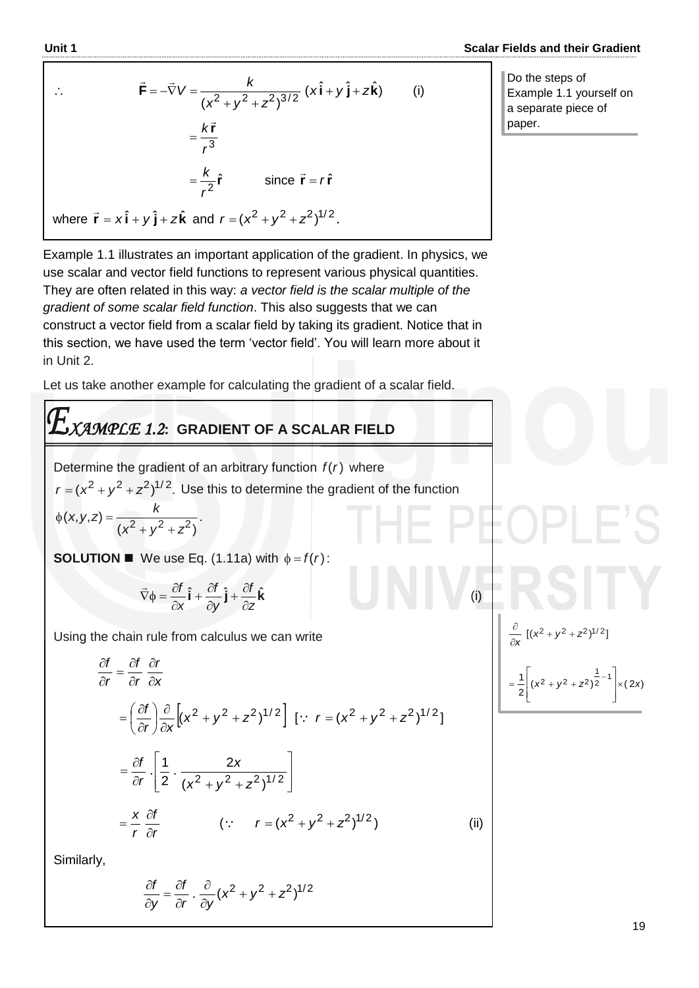(i)

 $\partial$ 

L L L

 $\frac{\partial}{\partial x}$  [(x<sup>2</sup> + y<sup>2</sup> + z<sup>2</sup>)<sup>1/2</sup>]

 $\frac{1}{2}$  $(x^2 + y^2 + z^2)^2$   $\times$  (2x)  $\frac{1}{2} (x^2 + y^2 + z^2)^{-1} = 1$ 

 $\left| z - \right| (x^2 + y^2 + z^2)^2$   $\times (2x)$ 

1

J  $\overline{\phantom{a}}$ ┚

 $\overline{\phantom{a}}$ 

$$
\vec{F} = -\vec{\nabla}V = \frac{k}{(x^2 + y^2 + z^2)^{3/2}} (x\hat{\mathbf{i}} + y\hat{\mathbf{j}} + z\hat{\mathbf{k}})
$$
 (i)  

$$
= \frac{k\vec{r}}{r^3}
$$

 $=\frac{\pi}{r^2}\hat{\mathbf{r}}$ 

where  $\vec{r} = x\hat{i} + y\hat{j} + z\hat{k}$  and  $r = (x^2 + y^2 + z^2)^{1/2}$ .

Do the steps of Example 1.1 yourself on a separate piece of paper.

Example 1.1 illustrates an important application of the gradient. In physics, we use scalar and vector field functions to represent various physical quantities. They are often related in this way: *a vector field is the scalar multiple of the gradient of some scalar field function*. This also suggests that we can construct a vector field from a scalar field by taking its gradient. Notice that in this section, we have used the term "vector field". You will learn more about it in Unit 2.

 $=\frac{k}{2}\hat{r}$  since  $\vec{r}=r\hat{r}$ 

Let us take another example for calculating the gradient of a scalar field.

# *XAMPLE 1.2***: GRADIENT OF A SCALAR FIELD**

Determine the gradient of an arbitrary function  $f(r)$  where  $r = (x^2 + y^2 + z^2)^{1/2}$ . Use this to determine the gradient of the function  $(x^2 + y^2 + z^2)$  $(x, y, z) = \frac{x}{(x^2 + y^2 + z^2)}$  $(x, y, z) = \frac{k}{2}$  $+y^2 +$  $\phi(x, y, z) = \frac{x}{2}$ 

**SOLUTION We use Eq. (1.11a)** with  $\phi = f(r)$ :

$$
\vec{\nabla}\phi = \frac{\partial f}{\partial x}\hat{\mathbf{i}} + \frac{\partial f}{\partial y}\hat{\mathbf{j}} + \frac{\partial f}{\partial z}\hat{\mathbf{k}}
$$

Using the chain rule from calculus we can write

$$
\frac{\partial f}{\partial r} = \frac{\partial f}{\partial r} \frac{\partial r}{\partial x}
$$
\n
$$
= \left(\frac{\partial f}{\partial r}\right) \frac{\partial}{\partial x} \left[ (x^2 + y^2 + z^2)^{1/2} \right] \left[ \because r = (x^2 + y^2 + z^2)^{1/2} \right]
$$
\n
$$
= \frac{\partial f}{\partial r} \cdot \left[ \frac{1}{2} \cdot \frac{2x}{(x^2 + y^2 + z^2)^{1/2}} \right]
$$
\n
$$
= \frac{x}{r} \frac{\partial f}{\partial r} \qquad (\because r = (x^2 + y^2 + z^2)^{1/2}) \qquad \text{(ii)}
$$

Similarly,

$$
\frac{\partial f}{\partial y} = \frac{\partial f}{\partial r} \cdot \frac{\partial}{\partial y} (x^2 + y^2 + z^2)^{1/2}
$$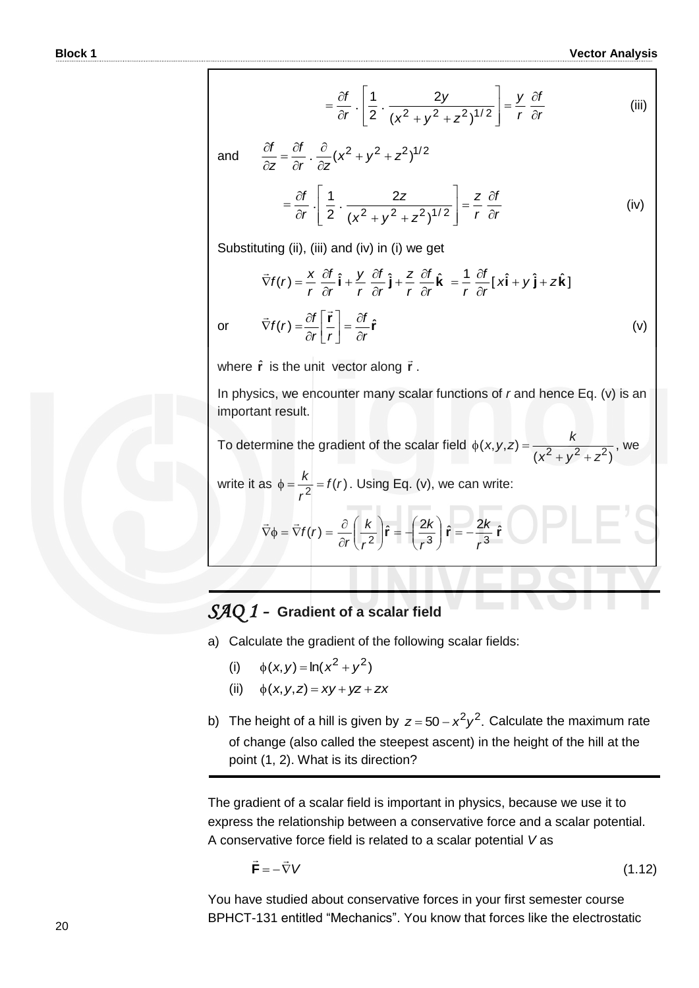$$
= \frac{\partial f}{\partial r} \cdot \left[ \frac{1}{2} \cdot \frac{2y}{(x^2 + y^2 + z^2)^{1/2}} \right] = \frac{y}{r} \frac{\partial f}{\partial r}
$$
 (iii)

and  $\frac{\partial I}{\partial z} = \frac{\partial I}{\partial x} \cdot \frac{\partial}{\partial z} (x^2 + y^2 + z^2)^{1/2}$ *zr f z*  $\frac{df}{dx} = \frac{\partial f}{\partial y}$ .  $\frac{\partial}{\partial z} (x^2 + y^2 + z^2)$  $\hat{o}$  $\hat{o}$  $\hat{c}$  $=\frac{\partial}{\partial t}$  $\hat{o}$  $\hat{o}$   $\ddot{\phantom{0}}$  $\overline{\phantom{a}}$  L  $\mathbf{r}$ L ļ.  $\partial r$  | 2  $(x^2 + y^2 + z^2)$  $=\frac{\partial f}{\partial r}\cdot\left[\frac{1}{2}\cdot\frac{2z}{(x^2+y^2+z^2)^{1/2}}\right]$  $\frac{2}{2}$ 2  $\frac{1}{2}$  $x^2 + y^2 + z$ *z r f r f r z*  $\hat{o}$  $=\frac{z}{\hat{c}}\frac{\partial f}{\partial x}$  (iv)

Substituting (ii), (iii) and (iv) in (i) we get

$$
\vec{\nabla}f(r) = \frac{x}{r} \frac{\partial f}{\partial r} \hat{\mathbf{i}} + \frac{y}{r} \frac{\partial f}{\partial r} \hat{\mathbf{j}} + \frac{z}{r} \frac{\partial f}{\partial r} \hat{\mathbf{k}} = \frac{1}{r} \frac{\partial f}{\partial r} [\mathbf{x}\hat{\mathbf{i}} + \mathbf{y}\hat{\mathbf{j}} + \mathbf{z}\hat{\mathbf{k}}]
$$
  
or 
$$
\vec{\nabla}f(r) = \frac{\partial f}{\partial r} \left[ \frac{\vec{r}}{r} \right] = \frac{\partial f}{\partial r} \hat{\mathbf{r}}
$$
(v)

where  $\hat{\mathbf{r}}$  is the unit vector along  $\vec{\mathbf{r}}$ .

In physics, we encounter many scalar functions of *r* and hence Eq. (v) is an important result.

To determine the gradient of the scalar field  $(x^2 + y^2 + z^2)$  $(x, y, z) = \frac{x}{(x^2 + y^2 + z^2)}$  $(x, y, z) = \frac{k}{2}$  $+y^2 +$  $\phi(x, y, z) = \frac{x}{\sqrt{2 - x^2}},$  we

write it as 
$$
\phi = \frac{k}{r^2} = f(r)
$$
. Using Eq. (v), we can write:

$$
\vec{\nabla}\phi = \vec{\nabla}f(r) = \frac{\partial}{\partial r}\left(\frac{k}{r^2}\right)\hat{\mathbf{r}} = -\left(\frac{2k}{r^3}\right)\hat{\mathbf{r}} = -\frac{2k}{r^3}\hat{\mathbf{r}}
$$

### *SAQ 1 -* **Gradient of a scalar field**

- a) Calculate the gradient of the following scalar fields:
	- (i)  $\phi(x, y) = \ln(x^2 + y^2)$
- (ii)  $\phi(x, y, z) = xy + yz + zx$
- b) The height of a hill is given by  $z = 50 x^2y^2$ . Calculate the maximum rate of change (also called the steepest ascent) in the height of the hill at the point (1, 2). What is its direction?

The gradient of a scalar field is important in physics, because we use it to express the relationship between a conservative force and a scalar potential. A conservative force field is related to a scalar potential *V* as

$$
\vec{\mathbf{F}} = -\vec{\nabla}V\tag{1.12}
$$

You have studied about conservative forces in your first semester course BPHCT-131 entitled "Mechanics". You know that forces like the electrostatic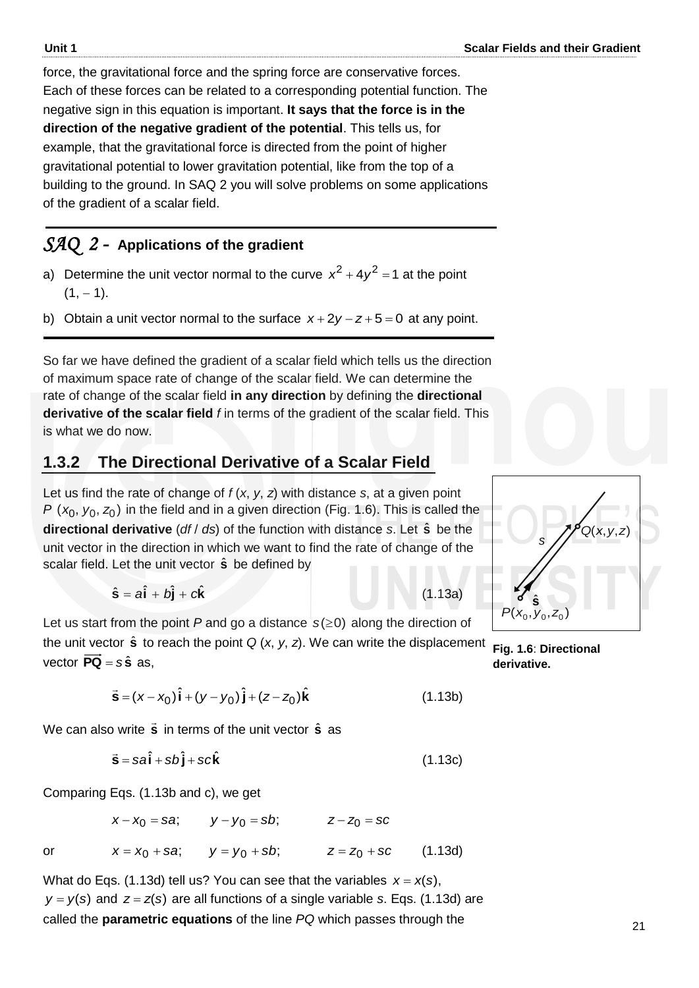force, the gravitational force and the spring force are conservative forces. Each of these forces can be related to a corresponding potential function. The negative sign in this equation is important. **It says that the force is in the direction of the negative gradient of the potential**. This tells us, for example, that the gravitational force is directed from the point of higher gravitational potential to lower gravitation potential, like from the top of a building to the ground. In SAQ 2 you will solve problems on some applications of the gradient of a scalar field.

### *SAQ 2 -* **Applications of the gradient**

- a) Determine the unit vector normal to the curve  $x^2 + 4y^2 = 1$  at the point  $(1, -1)$ .
- b) Obtain a unit vector normal to the surface  $x + 2y z + 5 = 0$  at any point.

So far we have defined the gradient of a scalar field which tells us the direction of maximum space rate of change of the scalar field. We can determine the rate of change of the scalar field **in any direction** by defining the **directional derivative of the scalar field** *f* in terms of the gradient of the scalar field. This is what we do now.

### **1.3.2 The Directional Derivative of a Scalar Field**

Let us find the rate of change of *f* (*x*, *y*, *z*) with distance *s*, at a given point  $P$  ( $x_0$ ,  $y_0$ ,  $z_0$ ) in the field and in a given direction (Fig. 1.6). This is called the **directional derivative** (*df* / *ds*) of the function with distance *s*. Let **s** ˆ be the unit vector in the direction in which we want to find the rate of change of the scalar field. Let the unit vector  $\hat{\mathbf{s}}$  be defined by

$$
\hat{\mathbf{s}} = a\hat{\mathbf{i}} + b\hat{\mathbf{j}} + c\hat{\mathbf{k}} \tag{1.13a}
$$

Let us start from the point  $P$  and go a distance  $s(\geq 0)$  along the direction of the unit vector  $\hat{\mathbf{s}}$  to reach the point  $Q(x, y, z)$ . We can write the displacement vector  $\overrightarrow{PQ} = s\hat{s}$  as,

$$
\vec{\mathbf{s}} = (x - x_0)\hat{\mathbf{i}} + (y - y_0)\hat{\mathbf{j}} + (z - z_0)\hat{\mathbf{k}} \tag{1.13b}
$$

We can also write  $\ddot{\mathbf{s}}$  in terms of the unit vector  $\hat{\mathbf{s}}$  as

$$
\vec{s} = sa\hat{i} + sb\hat{j} + sc\hat{k}
$$
 (1.13c)

Comparing Eqs. (1.13b and c), we get

or 
$$
x - x_0 = sa
$$
;  $y - y_0 = sb$ ;  $z - z_0 = sc$   
or  $x = x_0 + sa$ ;  $y = y_0 + sb$ ;  $z = z_0 + sc$  (1.13d)

What do Eqs. (1.13d) tell us? You can see that the variables  $x = x(s)$ ,  $y = y(s)$  and  $z = z(s)$  are all functions of a single variable *s*. Eqs. (1.13d) are called the **parametric equations** of the line *PQ* which passes through the



**Fig. 1.6**: **Directional derivative.**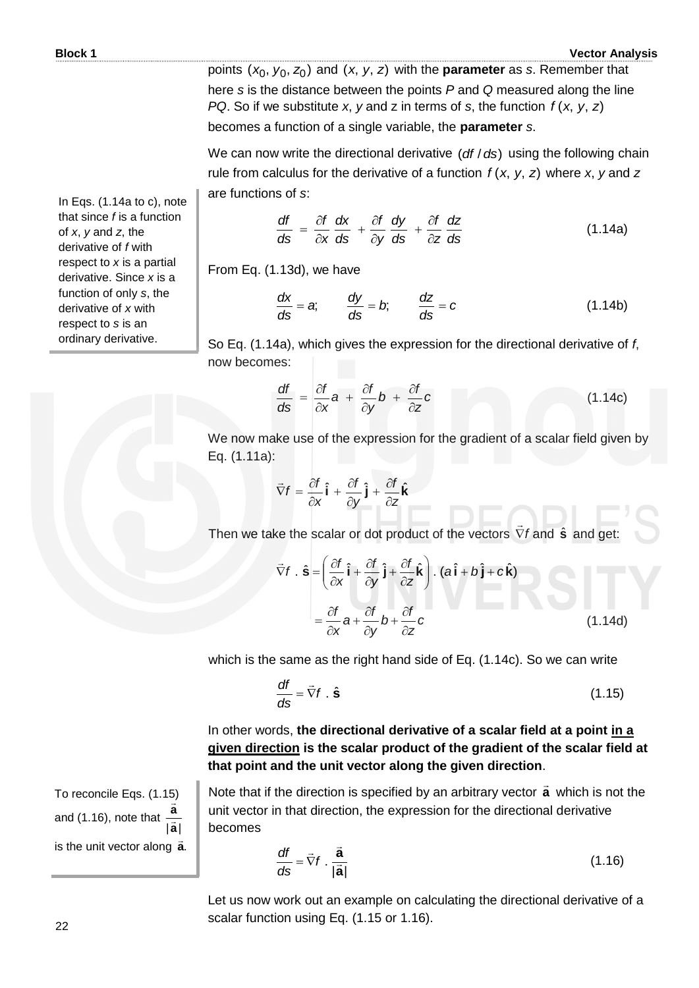points (x<sub>0</sub>, y<sub>0</sub>, z<sub>0</sub>) and (x, y, z) with the **parameter** as *s*. Remember that here *s* is the distance between the points *P* and *Q* measured along the line *PQ*. So if we substitute *x*, *y* and *z* in terms of *s*, the function  $f(x, y, z)$ becomes a function of a single variable, the **parameter** *s*.

We can now write the directional derivative (*df / ds*) using the following chain rule from calculus for the derivative of a function  $f(x, y, z)$  where x, y and z are functions of *s*:

$$
\frac{df}{ds} = \frac{\partial f}{\partial x}\frac{dx}{ds} + \frac{\partial f}{\partial y}\frac{dy}{ds} + \frac{\partial f}{\partial z}\frac{dz}{ds}
$$
(1.14a)

From Eq. (1.13d), we have

$$
\frac{dx}{ds} = a; \qquad \frac{dy}{ds} = b; \qquad \frac{dz}{ds} = c \tag{1.14b}
$$

So Eq. (1.14a), which gives the expression for the directional derivative of *f*, now becomes:

$$
\frac{df}{ds} = \frac{\partial f}{\partial x} a + \frac{\partial f}{\partial y} b + \frac{\partial f}{\partial z} c \qquad (1.14c)
$$

We now make use of the expression for the gradient of a scalar field given by Eq. (1.11a):

$$
\vec{\nabla}f = \frac{\partial f}{\partial x}\hat{\mathbf{i}} + \frac{\partial f}{\partial y}\hat{\mathbf{j}} + \frac{\partial f}{\partial z}\hat{\mathbf{k}}
$$

Then we take the scalar or dot product of the vectors  $\nabla f$  $\rightarrow$ and  $\hat{\mathbf{s}}$  and get:

$$
\vec{\nabla}f \cdot \hat{\mathbf{s}} = \left(\frac{\partial f}{\partial x}\hat{\mathbf{i}} + \frac{\partial f}{\partial y}\hat{\mathbf{j}} + \frac{\partial f}{\partial z}\hat{\mathbf{k}}\right) \cdot (a\hat{\mathbf{i}} + b\hat{\mathbf{j}} + c\hat{\mathbf{k}})
$$

$$
= \frac{\partial f}{\partial x}a + \frac{\partial f}{\partial y}b + \frac{\partial f}{\partial z}c
$$
(1.14d)

which is the same as the right hand side of Eq. (1.14c). So we can write

$$
\frac{df}{ds} = \vec{\nabla}f . \hat{\mathbf{s}} \tag{1.15}
$$

In other words, **the directional derivative of a scalar field at a point in a given direction is the scalar product of the gradient of the scalar field at that point and the unit vector along the given direction**.

Note that if the direction is specified by an arbitrary vector **a** which is not the unit vector in that direction, the expression for the directional derivative becomes

$$
\frac{df}{ds} = \vec{\nabla}f \cdot \frac{\vec{a}}{|\vec{a}|}
$$
 (1.16)

Let us now work out an example on calculating the directional derivative of a scalar function using Eq. (1.15 or 1.16).

In Eqs. (1.14a to c), note that since *f* is a function of *x*, *y* and *z*, the derivative of *f* with respect to *x* is a partial derivative. Since *x* is a function of only *s*, the derivative of *x* with respect to *s* is an ordinary derivative.

To reconcile Eqs. (1.15) and (1.16), note that

is the unit vector along **a**.

**a**|| **a**  $\frac{1}{2}$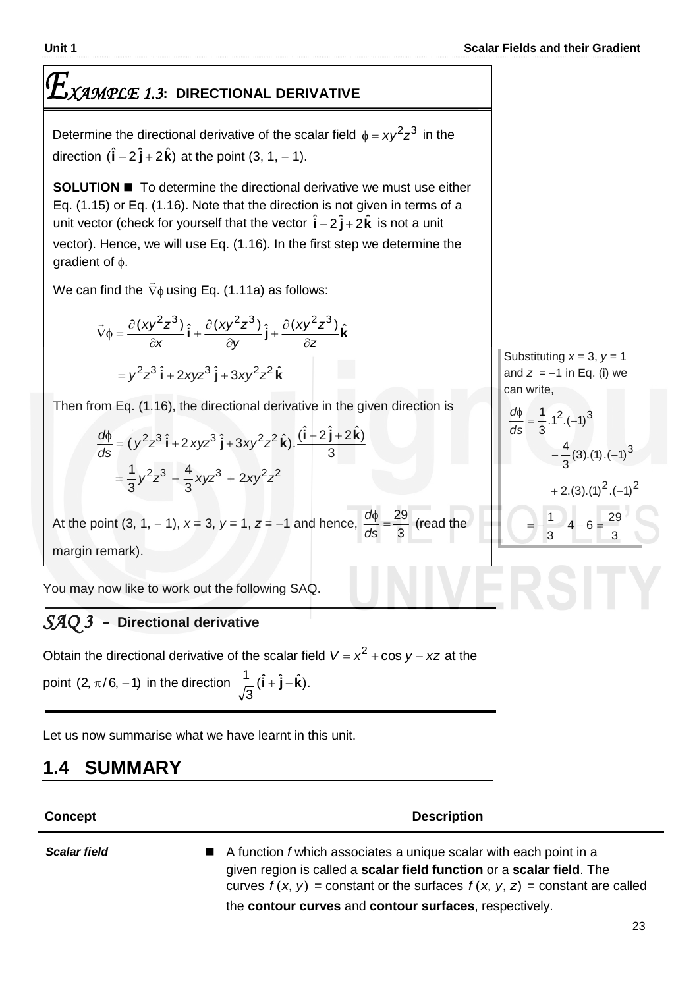# *XAMPLE 1.3***: DIRECTIONAL DERIVATIVE**

Determine the directional derivative of the scalar field  $\phi = xy^2z^3$  in the direction  $(\hat{\mathbf{i}} - 2\,\hat{\mathbf{j}} + 2\,\hat{\mathbf{k}})$  at the point  $(3, 1, -1)$ .

**SOLUTION To determine the directional derivative we must use either** Eq. (1.15) or Eq. (1.16). Note that the direction is not given in terms of a unit vector (check for yourself that the vector  $\hat{\mathbf{i}} - 2\hat{\mathbf{j}} + 2\hat{\mathbf{k}}$  is not a unit vector). Hence, we will use Eq. (1.16). In the first step we determine the gradient of  $\phi$ .

We can find the  $\,\nabla\phi$  $\overline{\phantom{a}}$ using Eq. (1.11a) as follows:

$$
\vec{\nabla}\phi = \frac{\partial (xy^2z^3)}{\partial x}\hat{\mathbf{i}} + \frac{\partial (xy^2z^3)}{\partial y}\hat{\mathbf{j}} + \frac{\partial (xy^2z^3)}{\partial z}\hat{\mathbf{k}}
$$

$$
= y^2z^3\hat{\mathbf{i}} + 2xyz^3\hat{\mathbf{j}} + 3xy^2z^2\hat{\mathbf{k}}
$$

Then from Eq. (1.16), the directional derivative in the given direction is

$$
\frac{d\phi}{ds} = (y^2 z^3 \hat{\mathbf{i}} + 2xyz^3 \hat{\mathbf{j}} + 3xy^2 z^2 \hat{\mathbf{k}}) \cdot \frac{(\hat{\mathbf{i}} - 2\hat{\mathbf{j}} + 2\hat{\mathbf{k}})}{3}
$$
\n
$$
= \frac{1}{3}y^2 z^3 - \frac{4}{3}xyz^3 + 2xy^2 z^2
$$

At the point  $(3, 1, -1)$ ,  $x = 3$ ,  $y = 1$ ,  $z = -1$  and hence, 3  $\frac{16}{12} = \frac{29}{12}$ *ds*  $\frac{d\phi}{dt} = \frac{29}{8}$  (read the margin remark).

You may now like to work out the following SAQ.

### *SAQ 3 -* **Directional derivative**

Obtain the directional derivative of the scalar field  $V = x^2 + \cos y - xz$  at the point (2,  $\pi/6$ , -1) in the direction  $\frac{1}{\sqrt{1-\hat{I}}}$  ( $\hat{i}$  +  $\hat{j}$  -  $\hat{k}$ ). 3  $\frac{1}{\sqrt{1}}(\hat{\mathbf{i}} + \hat{\mathbf{j}} - \hat{\mathbf{k}})$ 

Let us now summarise what we have learnt in this unit.

# **1.4 SUMMARY**

| Concept             | <b>Description</b>                                                                                                                                                                                                                           |
|---------------------|----------------------------------------------------------------------------------------------------------------------------------------------------------------------------------------------------------------------------------------------|
| <b>Scalar field</b> | $\blacksquare$ A function f which associates a unique scalar with each point in a<br>given region is called a scalar field function or a scalar field. The<br>curves $f(x, y)$ = constant or the surfaces $f(x, y, z)$ = constant are called |

the **contour curves** and **contour surfaces**, respectively.

Substituting  $x = 3$ ,  $y = 1$ and  $z = -1$  in Eq. (i) we can write,

$$
\frac{d\phi}{ds} = \frac{1}{3} \cdot 1^2 \cdot (-1)^3
$$
  

$$
-\frac{4}{3} (3) \cdot (1) \cdot (-1)^3
$$
  

$$
+ 2 \cdot (3) \cdot (1)^2 \cdot (-1)^2
$$
  

$$
= -\frac{1}{3} + 4 + 6 = \frac{29}{3}
$$

l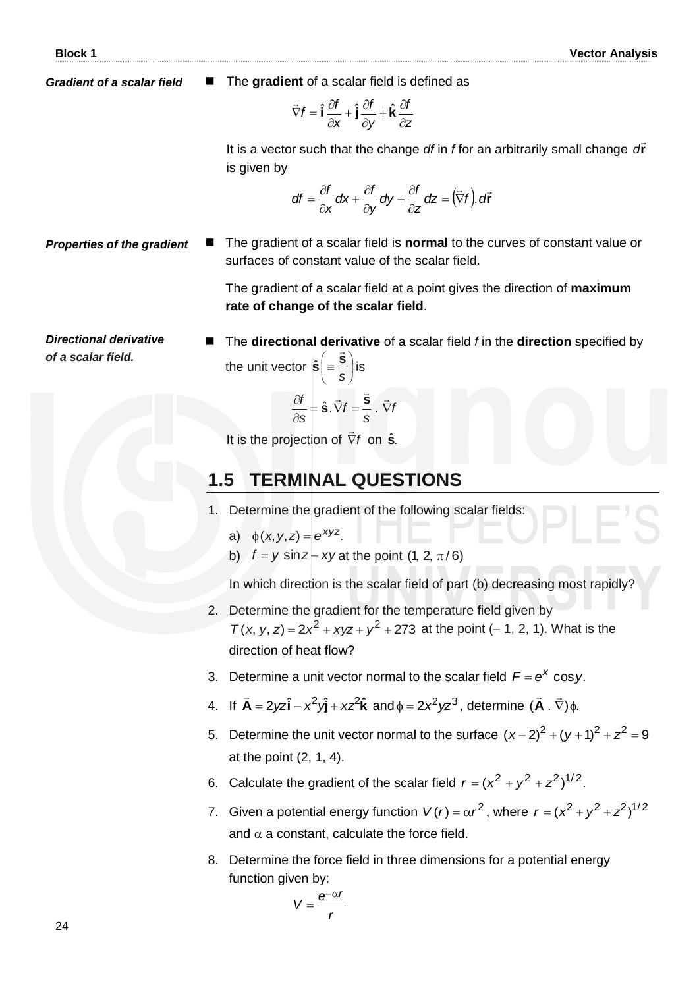*Gradient of a scalar field*

The **gradient** of a scalar field is defined as

$$
\vec{\nabla}f = \hat{\mathbf{i}}\frac{\partial f}{\partial x} + \hat{\mathbf{j}}\frac{\partial f}{\partial y} + \hat{\mathbf{k}}\frac{\partial f}{\partial z}
$$

It is a vector such that the change *df* in *f* for an arbitrarily small change *d*r is given by

$$
df = \frac{\partial f}{\partial x} dx + \frac{\partial f}{\partial y} dy + \frac{\partial f}{\partial z} dz = (\vec{\nabla} f). df
$$

*Properties of the gradient*  The gradient of a scalar field is **normal** to the curves of constant value or surfaces of constant value of the scalar field.

> The gradient of a scalar field at a point gives the direction of **maximum rate of change of the scalar field**.

*Directional derivative of a scalar field.*

■ The **directional derivative** of a scalar field *f* in the **direction** specified by the unit vector  $\hat{\mathbf{s}}$  =  $\equiv$  | J  $\left( \equiv \frac{\vec{S}}{s} \right)$  $\setminus$  $\Big($ *s*  $\hat{\mathbf{s}} = \frac{\vec{\mathbf{s}}}{\cdot}$  is

$$
\frac{\partial f}{\partial s} = \hat{\mathbf{S}} \cdot \vec{\nabla} f = \frac{\vec{\mathbf{S}}}{s} \cdot \vec{\nabla} f
$$

It is the projection of  $\nabla f$ on **s** ˆ .

### **1.5 TERMINAL QUESTIONS**

- 1. Determine the gradient of the following scalar fields:
- a)  $\phi(x, y, z) = e^{xyz}$ .
	- b)  $f = y \sin z xy$  at the point (1, 2,  $\pi/6$ )

In which direction is the scalar field of part (b) decreasing most rapidly?

- 2. Determine the gradient for the temperature field given by  $T(x, y, z) = 2x^2 + xyz + y^2 + 273$  at the point (-1, 2, 1). What is the direction of heat flow?
- 3. Determine a unit vector normal to the scalar field  $F = e^X \cos y$ .
- 4. If  $\vec{A} = 2yz\hat{i} x^2y\hat{j} + xz^2\hat{k}$  $\overline{z}$ and  $\phi = 2x^2yz^3$ , determine  $(\vec{A} \cdot \vec{\nabla})\phi$ .  $\frac{1}{2}$   $\frac{1}{2}$ **A**
- 5. Determine the unit vector normal to the surface  $(x-2)^2 + (y+1)^2 + z^2 = 9$ at the point (2, 1, 4).
- 6. Calculate the gradient of the scalar field  $r = (x^2 + y^2 + z^2)^{1/2}$ .
- 7. Given a potential energy function  $V(r) = \alpha r^2$ , where  $r = (x^2 + y^2 + z^2)^{1/2}$ and  $\alpha$  a constant, calculate the force field.
- 8. Determine the force field in three dimensions for a potential energy function given by:

$$
V=\frac{e^{-\alpha r}}{r}
$$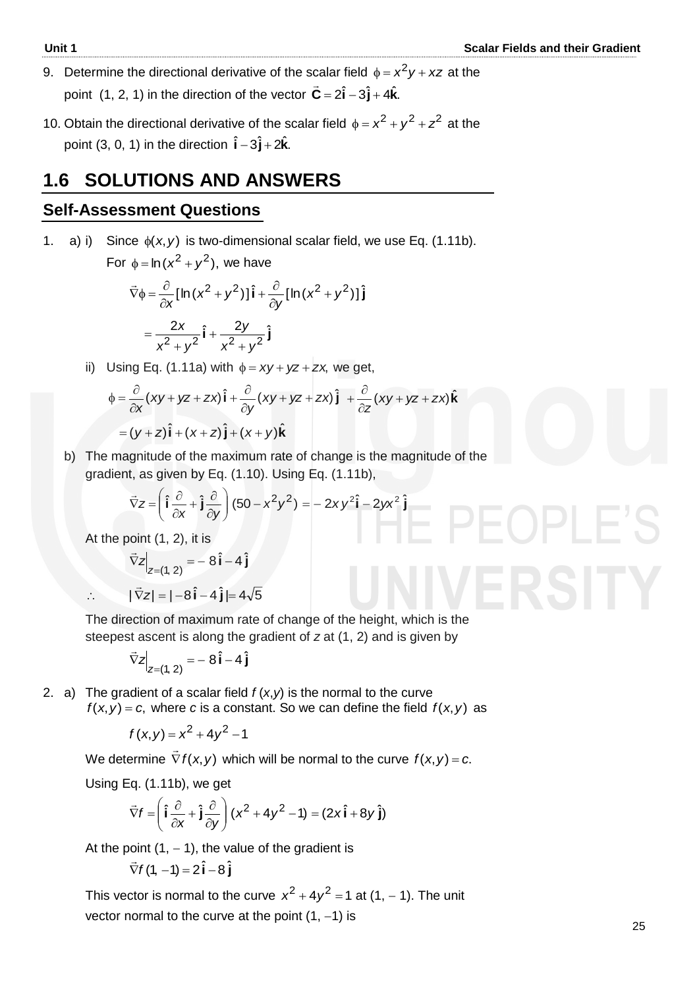- 9. Determine the directional derivative of the scalar field  $\phi = x^2y + xz$  at the point  $(1, 2, 1)$  in the direction of the vector  $\vec{C} = 2\hat{i} - 3\hat{j} + 4\hat{k}$ .
- 10. Obtain the directional derivative of the scalar field  $\phi = x^2 + y^2 + z^2$  at the point (3, 0, 1) in the direction  $\hat{\mathbf{i}} - 3\hat{\mathbf{j}} + 2\hat{\mathbf{k}}$ .

### **1.6 SOLUTIONS AND ANSWERS**

#### **Self-Assessment Questions**

1. a) i) Since  $\phi(x, y)$  is two-dimensional scalar field, we use Eq. (1.11b). For  $\phi = \ln(x^2 + y^2)$ , we have  $\vec{\nabla}\phi = \frac{\partial}{\partial x}[\ln (x^2 + y^2)]\hat{i} + \frac{\partial}{\partial y}[\ln (x^2 + y^2)]\hat{j}$ *y yx x*  $^{+}$  $\hat{c}$  $(y^2)$ ] $\hat{i} + \frac{\partial}{\partial}$  $\partial$  $\vec{\nabla}\phi = \frac{\partial}{\partial \phi}$  $\overline{\phantom{a}}$  $=\frac{2x}{2} + \frac{2y}{2}$  $2 + y^2$   $x^2 + y^2$ *y yx x*  $+$  $^{+}$  $^{+}$  $=$ ii) Using Eq. (1.11a) with  $\phi = xy + yz + zx$ , we get,

$$
\phi = \frac{\partial}{\partial x}(xy + yz + zx)\hat{\mathbf{i}} + \frac{\partial}{\partial y}(xy + yz + zx)\hat{\mathbf{j}} + \frac{\partial}{\partial z}(xy + yz + zx)\hat{\mathbf{k}}
$$
  
=  $(y + z)\hat{\mathbf{i}} + (x + z)\hat{\mathbf{j}} + (x + y)\hat{\mathbf{k}}$ 

 b) The magnitude of the maximum rate of change is the magnitude of the gradient, as given by Eq. (1.10). Using Eq. (1.11b),

$$
\vec{\nabla}z = \left(\hat{\mathbf{i}}\frac{\partial}{\partial x} + \hat{\mathbf{j}}\frac{\partial}{\partial y}\right)(50 - x^2y^2) = -2xy^2\hat{\mathbf{i}} - 2yx^2\hat{\mathbf{j}}
$$

At the point (1, 2), it is

$$
\vec{\nabla} z\Big|_{z=(1,2)} = -8\hat{\mathbf{i}} - 4\hat{\mathbf{j}}
$$
  
∴  $|\vec{\nabla} z| = |-8\hat{\mathbf{i}} - 4\hat{\mathbf{j}}| = 4\sqrt{5}$ 

 The direction of maximum rate of change of the height, which is the steepest ascent is along the gradient of *z* at (1, 2) and is given by

$$
\left. \vec{\nabla} z \right|_{z=(1,2)} = -8\,\hat{\mathbf{i}} - 4\,\hat{\mathbf{j}}
$$

2. a) The gradient of a scalar field  $f(x, y)$  is the normal to the curve  $f(x, y) = c$ , where *c* is a constant. So we can define the field  $f(x, y)$  as

$$
f(x, y) = x^2 + 4y^2 - 1
$$

We determine  $\nabla f(x, y)$  $\rightarrow$ which will be normal to the curve  $f(x, y) = c$ .

Using Eq. (1.11b), we get

$$
\vec{\nabla} f = \left(\hat{\mathbf{i}}\frac{\partial}{\partial x} + \hat{\mathbf{j}}\frac{\partial}{\partial y}\right)(x^2 + 4y^2 - 1) = (2x\hat{\mathbf{i}} + 8y\hat{\mathbf{j}})
$$

At the point  $(1, -1)$ , the value of the gradient is

$$
\vec{\nabla} f(1, -1) = 2\hat{\mathbf{i}} - 8\hat{\mathbf{j}}
$$

This vector is normal to the curve  $x^2 + 4y^2 = 1$  at  $(1, -1)$ . The unit vector normal to the curve at the point  $(1, -1)$  is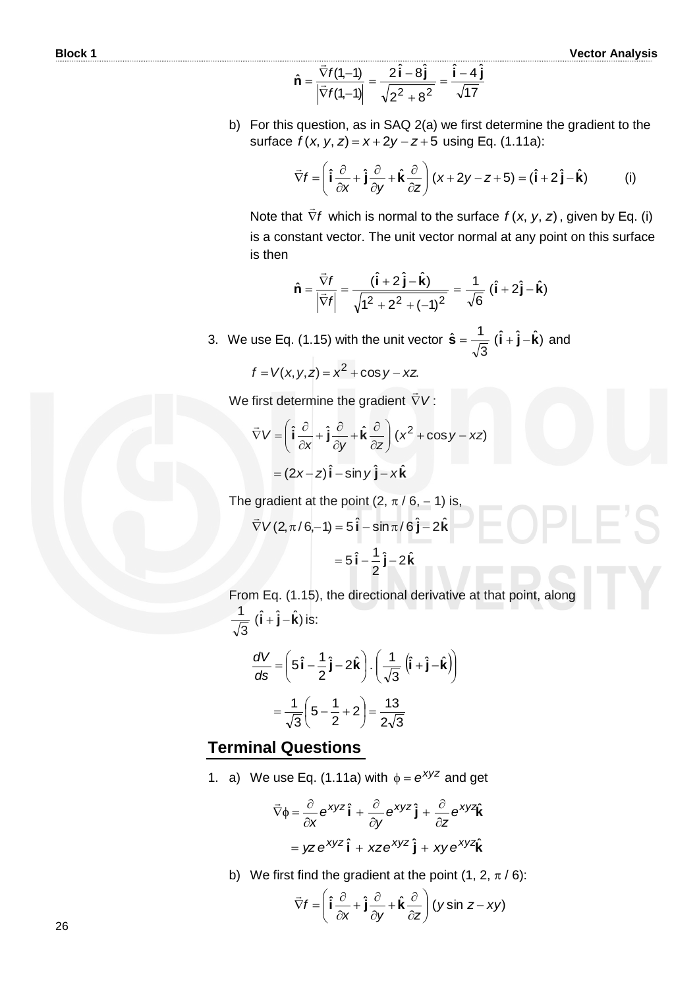$$
\hat{\mathbf{n}} = \frac{\vec{\nabla} f(1,-1)}{|\vec{\nabla} f(1,-1)|} = \frac{2\hat{\mathbf{i}} - 8\hat{\mathbf{j}}}{\sqrt{2^2 + 8^2}} = \frac{\hat{\mathbf{i}} - 4\hat{\mathbf{j}}}{\sqrt{17}}
$$

 b) For this question, as in SAQ 2(a) we first determine the gradient to the surface  $f(x, y, z) = x + 2y - z + 5$  using Eq. (1.11a):

$$
\vec{\nabla}f = \left(\hat{\mathbf{i}}\frac{\partial}{\partial x} + \hat{\mathbf{j}}\frac{\partial}{\partial y} + \hat{\mathbf{k}}\frac{\partial}{\partial z}\right)(x + 2y - z + 5) = (\hat{\mathbf{i}} + 2\hat{\mathbf{j}} - \hat{\mathbf{k}})
$$
 (i)

**Note that**  $\nabla f$  $\overline{a}$ which is normal to the surface  $f(x, y, z)$ , given by Eq. (i) is a constant vector. The unit vector normal at any point on this surface is then

$$
\hat{\mathbf{n}} = \frac{\vec{\nabla}f}{\left|\vec{\nabla}f\right|} = \frac{(\hat{\mathbf{i}} + 2\,\hat{\mathbf{j}} - \hat{\mathbf{k}})}{\sqrt{1^2 + 2^2 + (-1)^2}} = \frac{1}{\sqrt{6}} \,(\hat{\mathbf{i}} + 2\,\hat{\mathbf{j}} - \hat{\mathbf{k}})
$$

3. We use Eq. (1.15) with the unit vector  $\hat{\mathbf{s}} = \frac{1}{\sqrt{2}} (\hat{\mathbf{i}} + \hat{\mathbf{j}} - \hat{\mathbf{k}})$ 3  $\hat{\mathbf{s}} = \frac{1}{\sqrt{n}} (\hat{\mathbf{i}} + \hat{\mathbf{j}} - \hat{\mathbf{k}})$  and

$$
f = V(x, y, z) = x2 + \cos y - xz
$$

We first determine the gradient *V*  $\overline{a}$ :

$$
\vec{\nabla} V = \left( \hat{\mathbf{i}} \frac{\partial}{\partial x} + \hat{\mathbf{j}} \frac{\partial}{\partial y} + \hat{\mathbf{k}} \frac{\partial}{\partial z} \right) (x^2 + \cos y - xz)
$$

$$
= (2x - z)\hat{\mathbf{i}} - \sin y \hat{\mathbf{j}} - x\hat{\mathbf{k}}
$$

The gradient at the point (2,  $\pi/6$ , -1) is,

$$
\vec{\nabla}V(2,\pi/6,-1) = 5\,\hat{\mathbf{i}} - \sin \pi/6\,\hat{\mathbf{j}} - 2\hat{\mathbf{k}}
$$

$$
= 5\,\hat{\mathbf{i}} - \frac{1}{2}\,\hat{\mathbf{j}} - 2\hat{\mathbf{k}}
$$

 From Eq. (1.15), the directional derivative at that point, along  $(\hat{\mathbf{i}} + \hat{\mathbf{j}} - \hat{\mathbf{k}})$ 3  $\frac{1}{\sqrt{1}}(\hat{\mathbf{i}} + \hat{\mathbf{j}} - \hat{\mathbf{k}})$  is:

$$
\frac{dV}{ds} = \left(5\hat{\mathbf{i}} - \frac{1}{2}\hat{\mathbf{j}} - 2\hat{\mathbf{k}}\right) \cdot \left(\frac{1}{\sqrt{3}}\left(\hat{\mathbf{i}} + \hat{\mathbf{j}} - \hat{\mathbf{k}}\right)\right)
$$

$$
= \frac{1}{\sqrt{3}}\left(5 - \frac{1}{2} + 2\right) = \frac{13}{2\sqrt{3}}
$$

### **Terminal Questions**

1. a) We use Eq. (1.11a) with  $\phi = e^{xyz}$  and get

$$
\vec{\nabla}\phi = \frac{\partial}{\partial x} e^{xyz} \hat{\mathbf{i}} + \frac{\partial}{\partial y} e^{xyz} \hat{\mathbf{j}} + \frac{\partial}{\partial z} e^{xyz} \hat{\mathbf{k}}
$$

$$
= yze^{xyz} \hat{\mathbf{i}} + xze^{xyz} \hat{\mathbf{j}} + xye^{xyz} \hat{\mathbf{k}}
$$

b) We first find the gradient at the point  $(1, 2, \pi / 6)$ :

$$
\vec{\nabla}f = \left(\hat{\mathbf{i}}\frac{\partial}{\partial x} + \hat{\mathbf{j}}\frac{\partial}{\partial y} + \hat{\mathbf{k}}\frac{\partial}{\partial z}\right)(y\sin z - xy)
$$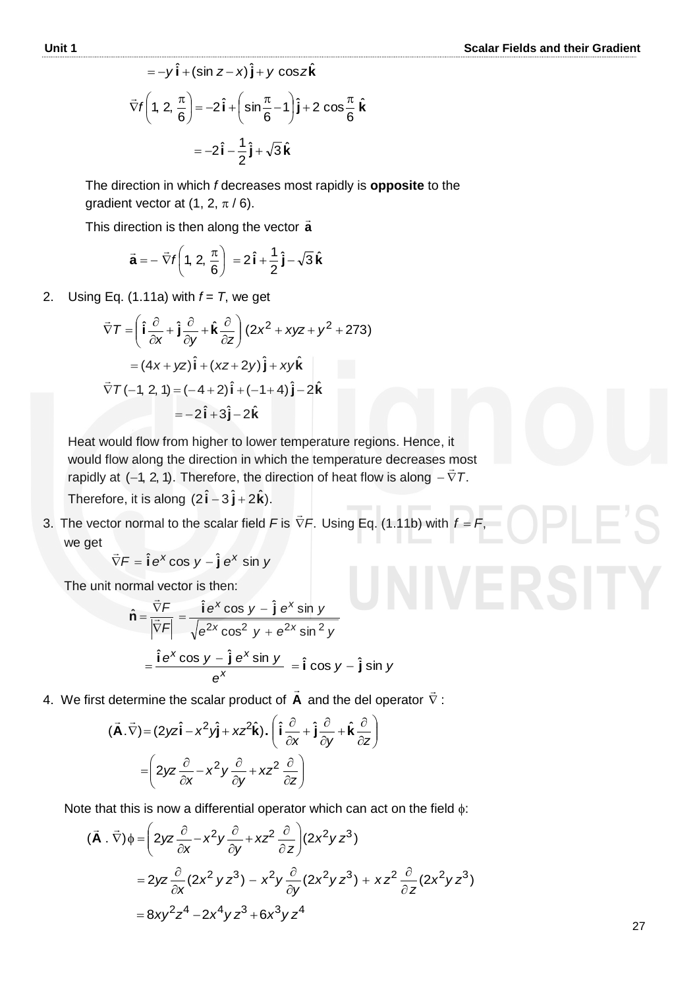$$
= -y\hat{\mathbf{i}} + (\sin z - x)\hat{\mathbf{j}} + y \cos z\hat{\mathbf{k}}
$$
  

$$
\vec{\nabla}f\left(1, 2, \frac{\pi}{6}\right) = -2\hat{\mathbf{i}} + \left(\sin \frac{\pi}{6} - 1\right)\hat{\mathbf{j}} + 2 \cos \frac{\pi}{6}\hat{\mathbf{k}}
$$
  

$$
= -2\hat{\mathbf{i}} - \frac{1}{2}\hat{\mathbf{j}} + \sqrt{3}\hat{\mathbf{k}}
$$

The direction in which *f* decreases most rapidly is **opposite** to the gradient vector at  $(1, 2, \pi/6)$ .

This direction is then along the vector **a**

$$
\vec{\mathbf{a}} = -\vec{\nabla}f\left(1, 2, \frac{\pi}{6}\right) = 2\hat{\mathbf{i}} + \frac{1}{2}\hat{\mathbf{j}} - \sqrt{3}\hat{\mathbf{k}}
$$

2. Using Eq.  $(1.11a)$  with  $f = T$ , we get

$$
\vec{\nabla}T = \left(\hat{\mathbf{i}}\frac{\partial}{\partial x} + \hat{\mathbf{j}}\frac{\partial}{\partial y} + \hat{\mathbf{k}}\frac{\partial}{\partial z}\right)(2x^2 + xyz + y^2 + 273)
$$

$$
= (4x + yz)\hat{\mathbf{i}} + (xz + 2y)\hat{\mathbf{j}} + xy\hat{\mathbf{k}}
$$

$$
\vec{\nabla}T(-1, 2, 1) = (-4 + 2)\hat{\mathbf{i}} + (-1 + 4)\hat{\mathbf{j}} - 2\hat{\mathbf{k}}
$$

$$
= -2\hat{\mathbf{i}} + 3\hat{\mathbf{j}} - 2\hat{\mathbf{k}}
$$

Heat would flow from higher to lower temperature regions. Hence, it would flow along the direction in which the temperature decreases most rapidly at  $(-1, 2, 1)$ . Therefore, the direction of heat flow is along  $-\nabla T$ .  $\frac{11}{11}$ Therefore, it is along  $(2\hat{i} - 3\hat{j} + 2\hat{k})$ .

3. The vector normal to the scalar field  $F$  is  $\nabla F$ .  $\overline{\phantom{a}}$ Using Eq.  $(1.11b)$  with  $f = F$ , we get

$$
\vec{\nabla}F = \hat{\mathbf{i}}e^{x}\cos y - \hat{\mathbf{j}}e^{x}\sin y
$$

The unit normal vector is then:

$$
\hat{\mathbf{n}} = \frac{\vec{\nabla}F}{\left|\vec{\nabla}F\right|} = \frac{\hat{\mathbf{i}}e^x \cos y - \hat{\mathbf{j}}e^x \sin y}{\sqrt{e^{2x} \cos^2 y + e^{2x} \sin^2 y}}
$$

$$
= \frac{\hat{\mathbf{i}}e^x \cos y - \hat{\mathbf{j}}e^x \sin y}{e^x} = \hat{\mathbf{i}} \cos y - \hat{\mathbf{j}} \sin y
$$

4. We first determine the scalar product of **A**  $\rightarrow$ and the del operator  $\nabla$  $\rightarrow$ :

$$
(\vec{\mathbf{A}}.\vec{\nabla}) = (2yz\hat{\mathbf{i}} - x^2y\hat{\mathbf{j}} + xz^2\hat{\mathbf{k}}). (\hat{\mathbf{i}}\frac{\partial}{\partial x} + \hat{\mathbf{j}}\frac{\partial}{\partial y} + \hat{\mathbf{k}}\frac{\partial}{\partial z})
$$

$$
= \left(2yz\frac{\partial}{\partial x} - x^2y\frac{\partial}{\partial y} + xz^2\frac{\partial}{\partial z}\right)
$$

Note that this is now a differential operator which can act on the field  $\phi$ :

$$
(\vec{A} \cdot \vec{\nabla})\phi = \left(2yz\frac{\partial}{\partial x} - x^2y\frac{\partial}{\partial y} + xz^2\frac{\partial}{\partial z}\right)(2x^2yz^3)
$$
  
=  $2yz\frac{\partial}{\partial x}(2x^2yz^3) - x^2y\frac{\partial}{\partial y}(2x^2yz^3) + xz^2\frac{\partial}{\partial z}(2x^2yz^3)$   
=  $8xy^2z^4 - 2x^4yz^3 + 6x^3yz^4$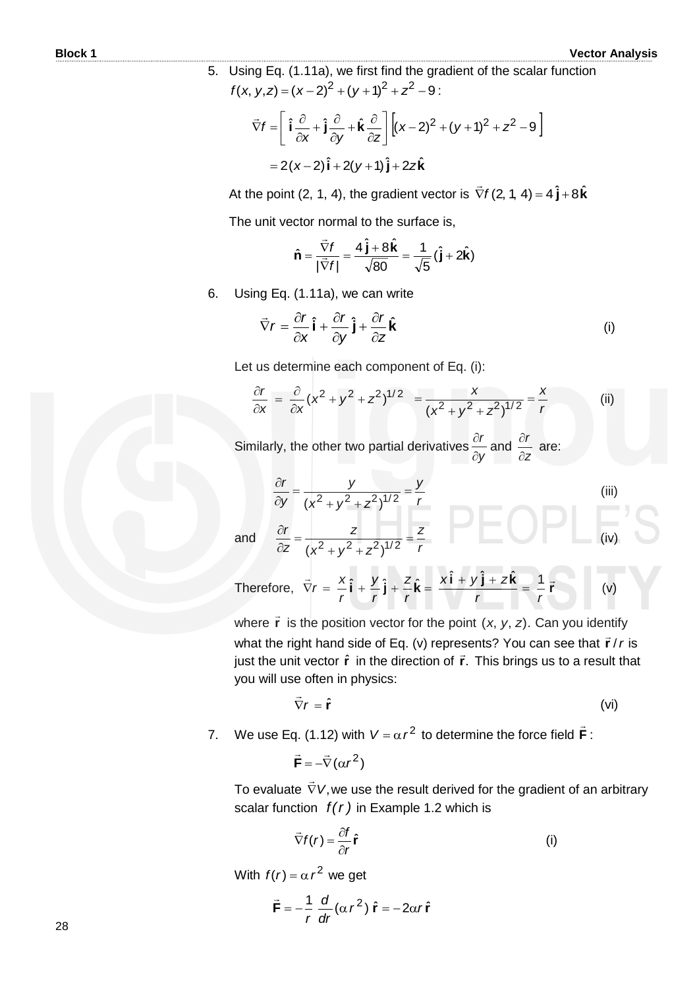5. Using Eq. (1.11a), we first find the gradient of the scalar function  $f(x, y, z) = (x - 2)^2 + (y + 1)^2 + z^2 - 9$ :

$$
\vec{\nabla}f = \left[\hat{\mathbf{i}}\frac{\partial}{\partial x} + \hat{\mathbf{j}}\frac{\partial}{\partial y} + \hat{\mathbf{k}}\frac{\partial}{\partial z}\right] \left[(x-2)^2 + (y+1)^2 + z^2 - 9\right]
$$

$$
= 2(x-2)\hat{\mathbf{i}} + 2(y+1)\hat{\mathbf{j}} + 2z\hat{\mathbf{k}}
$$

At the point (2, 1, 4), the gradient vector is  $\vec{\nabla} f$  (2, 1, 4) = 4  $\hat{\bm{\jmath}}+8\hat{\bm{k}}$  $\overline{a}$ 

The unit vector normal to the surface is,

$$
\hat{\mathbf{n}} = \frac{\vec{\nabla}f}{|\vec{\nabla}f|} = \frac{4\,\hat{\mathbf{j}} + 8\,\hat{\mathbf{k}}}{\sqrt{80}} = \frac{1}{\sqrt{5}}\left(\hat{\mathbf{j}} + 2\hat{\mathbf{k}}\right)
$$

6. Using Eq. (1.11a), we can write

$$
\vec{\nabla}r = \frac{\partial r}{\partial x}\hat{\mathbf{i}} + \frac{\partial r}{\partial y}\hat{\mathbf{j}} + \frac{\partial r}{\partial z}\hat{\mathbf{k}} \tag{i}
$$

Let us determine each component of Eq. (i):

$$
\frac{\partial r}{\partial x} = \frac{\partial}{\partial x} (x^2 + y^2 + z^2)^{1/2} = \frac{x}{(x^2 + y^2 + z^2)^{1/2}} = \frac{x}{r}
$$
 (ii)

 Similarly, the other two partial derivatives *y r*  $\hat{o}$  $\frac{\partial r}{\partial r}$  and *z r*  $\partial$  $\frac{\partial r}{\partial t}$  are:

$$
\frac{\partial r}{\partial y} = \frac{y}{(x^2 + y^2 + z^2)^{1/2}} = \frac{y}{r}
$$
\n(iii)  
\n
$$
\frac{\partial r}{\partial x} = \frac{z}{(x^2 + z^2)^{1/2}} = \frac{z}{r}
$$
\n(iv)

**and** 

*z*

 $=$  $\hat{o}$  $\partial$ 

Therefore, 
$$
\vec{\nabla}r = \frac{x}{r}\hat{\mathbf{i}} + \frac{y}{r}\hat{\mathbf{j}} + \frac{z}{r}\hat{\mathbf{k}} = \frac{x\hat{\mathbf{i}} + y\hat{\mathbf{j}} + z\hat{\mathbf{k}}}{r} = \frac{1}{r}\vec{\mathbf{r}}
$$
 (v)

*r z*

where  $\vec{r}$  is the position vector for the point  $(x, y, z)$ . Can you identify what the right hand side of Eq. (v) represents? You can see that  $\vec{r}$  /*r* is in the unit vector  $\hat{\bf r}$  in the direction of  $\vec{\bf r}$ . This brings us to a result that you will use often in physics:

$$
\vec{\nabla}r = \hat{\mathbf{r}} \tag{vi}
$$

7. We use Eq. (1.12) with  $V = \alpha r^2$  to determine the force field  $\vec{F}$  $\rightarrow$ :

 $\vec{F} = -\vec{\nabla}(\alpha r^2)$ **F**

 $x^2 + y^2 + z$ 

*z*

 $(x^2+y^2+z^2)^{1/2}$ 

 $\frac{dV}{dr} = \frac{Z}{r^2}$  $+y^2 +$ 

To evaluate  $\nabla V$ ,  $\rightarrow$ we use the result derived for the gradient of an arbitrary scalar function  $f(r)$  in Example 1.2 which is

$$
\vec{\nabla}f(r) = \frac{\partial f}{\partial r}\hat{\mathbf{r}} \tag{i}
$$

With  $f(r) = \alpha r^2$  we get

$$
\vec{\mathbf{F}} = -\frac{1}{r} \frac{d}{dr} (\alpha r^2) \hat{\mathbf{r}} = -2\alpha r \hat{\mathbf{r}}
$$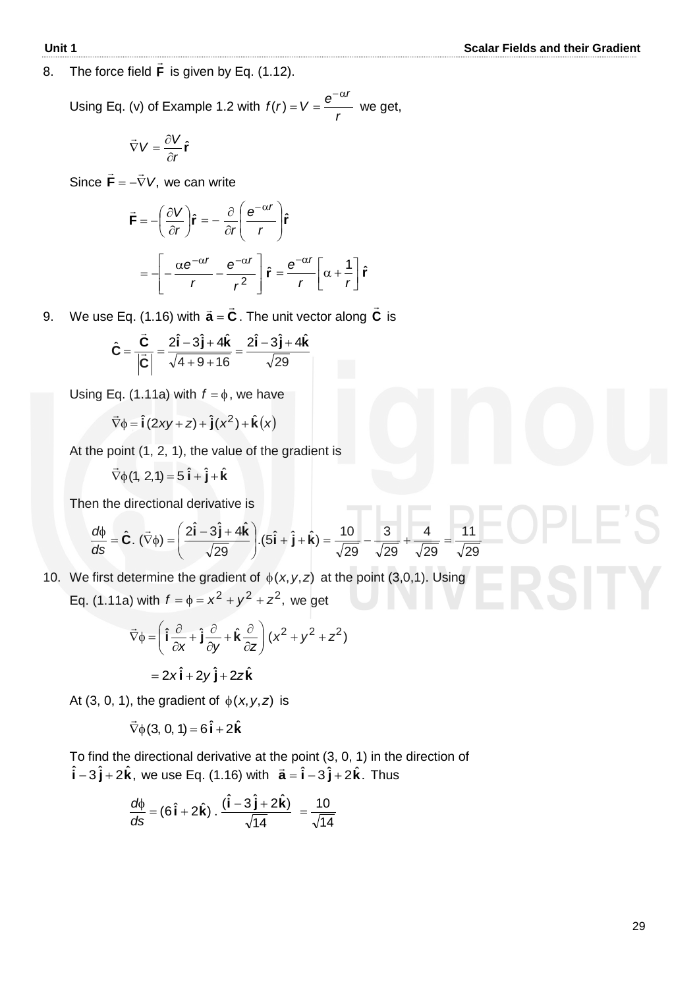8. The force field **F**  $\ddot{ }$ is given by Eq. (1.12).

 Using Eq. (v) of Example 1.2 with *r*  $f(r) = V = \frac{e}{c}$  $-\alpha t$  $I(r) = V = \frac{6}{r}$  we get,

$$
\vec{\nabla} V = \frac{\partial V}{\partial r} \hat{\mathbf{r}}
$$

Since  $\mathbf{F} = -\nabla V$ ,  $\ddot{=}$   $\ddot{=}$  $\mathbf{F} = -\nabla V$ , we can write

$$
\vec{\mathbf{F}} = -\left(\frac{\partial V}{\partial r}\right)\hat{\mathbf{r}} = -\frac{\partial}{\partial r}\left(\frac{\mathbf{e}^{-\alpha r}}{r}\right)\hat{\mathbf{r}}
$$

$$
= -\left[-\frac{\alpha \mathbf{e}^{-\alpha r}}{r} - \frac{\mathbf{e}^{-\alpha r}}{r^2}\right]\hat{\mathbf{r}} = \frac{\mathbf{e}^{-\alpha r}}{r}\left[\alpha + \frac{1}{r}\right]\hat{\mathbf{r}}
$$

9. We use Eq. (1.16) with  $\vec{\mathbf{a}} = \vec{\mathbf{C}}$  . The unit vector along **C**  $\overline{a}$ is

$$
\hat{\mathbf{C}} = \frac{\vec{\mathbf{C}}}{\left|\vec{\mathbf{C}}\right|} = \frac{2\hat{\mathbf{i}} - 3\hat{\mathbf{j}} + 4\hat{\mathbf{k}}}{\sqrt{4 + 9 + 16}} = \frac{2\hat{\mathbf{i}} - 3\hat{\mathbf{j}} + 4\hat{\mathbf{k}}}{\sqrt{29}}
$$

Using Eq. (1.11a) with  $f = \phi$ , we have

$$
\vec{\nabla}\phi = \hat{\mathbf{i}}(2xy + z) + \hat{\mathbf{j}}(x^2) + \hat{\mathbf{k}}(x)
$$

At the point (1, 2, 1), the value of the gradient is

$$
\vec{\nabla}\phi(1, 2, 1) = 5\,\hat{\mathbf{i}} + \hat{\mathbf{j}} + \hat{\mathbf{k}}
$$

Then the directional derivative is

$$
\frac{d\phi}{ds} = \hat{\mathbf{C}}.\ (\vec{\nabla}\phi) = \left(\frac{2\hat{\mathbf{i}} - 3\hat{\mathbf{j}} + 4\hat{\mathbf{k}}}{\sqrt{29}}\right). (5\hat{\mathbf{i}} + \hat{\mathbf{j}} + \hat{\mathbf{k}}) = \frac{10}{\sqrt{29}} - \frac{3}{\sqrt{29}} + \frac{4}{\sqrt{29}} = \frac{11}{\sqrt{29}}
$$

10. We first determine the gradient of  $\phi(x, y, z)$  at the point (3,0,1). Using Eq. (1.11a) with  $f = \phi = x^2 + y^2 + z^2$ , we get

$$
\vec{\nabla}\phi = \left(\hat{\mathbf{i}}\frac{\partial}{\partial x} + \hat{\mathbf{j}}\frac{\partial}{\partial y} + \hat{\mathbf{k}}\frac{\partial}{\partial z}\right)(x^2 + y^2 + z^2)
$$

$$
= 2x\hat{\mathbf{i}} + 2y\hat{\mathbf{j}} + 2z\hat{\mathbf{k}}
$$

At  $(3, 0, 1)$ , the gradient of  $\phi(x, y, z)$  is

$$
\vec{\nabla}\phi(3, 0, 1) = 6\hat{\mathbf{i}} + 2\hat{\mathbf{k}}
$$

 To find the directional derivative at the point (3, 0, 1) in the direction of  $\hat{i} - 3\hat{j} + 2\hat{k}$ , we use Eq. (1.16) with  $\vec{a} = \hat{i} - 3\hat{j} + 2\hat{k}$ . Thus

$$
\frac{d\phi}{ds} = (6\hat{\mathbf{i}} + 2\hat{\mathbf{k}}) \cdot \frac{(\hat{\mathbf{i}} - 3\hat{\mathbf{j}} + 2\hat{\mathbf{k}})}{\sqrt{14}} = \frac{10}{\sqrt{14}}
$$